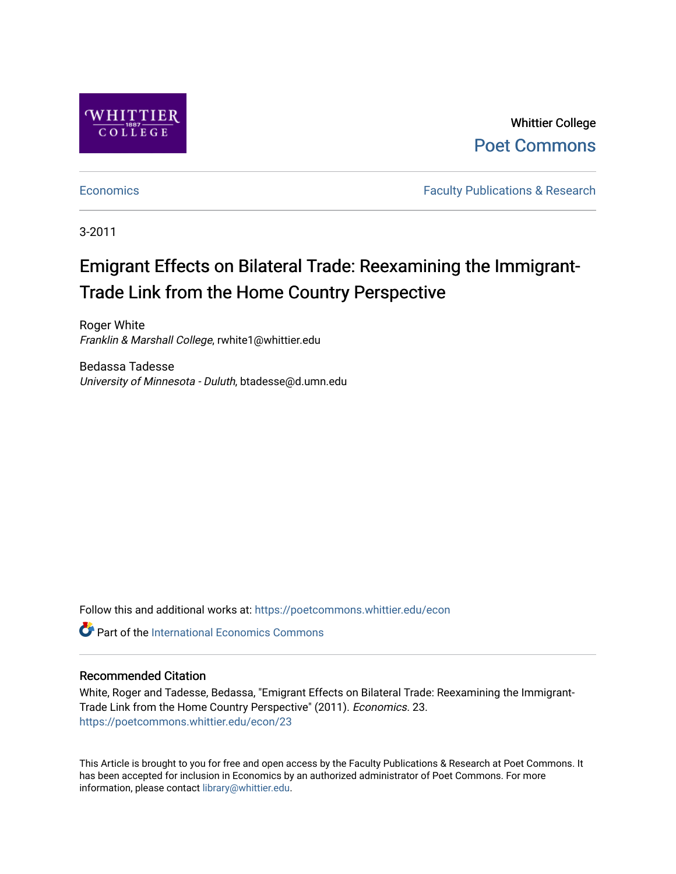

Whittier College [Poet Commons](https://poetcommons.whittier.edu/) 

[Economics](https://poetcommons.whittier.edu/econ) **Faculty Publications & Research** 

3-2011

# Emigrant Effects on Bilateral Trade: Reexamining the Immigrant-Trade Link from the Home Country Perspective

Roger White Franklin & Marshall College, rwhite1@whittier.edu

Bedassa Tadesse University of Minnesota - Duluth, btadesse@d.umn.edu

Follow this and additional works at: [https://poetcommons.whittier.edu/econ](https://poetcommons.whittier.edu/econ?utm_source=poetcommons.whittier.edu%2Fecon%2F23&utm_medium=PDF&utm_campaign=PDFCoverPages)

**C** Part of the International Economics Commons

# Recommended Citation

White, Roger and Tadesse, Bedassa, "Emigrant Effects on Bilateral Trade: Reexamining the Immigrant-Trade Link from the Home Country Perspective" (2011). Economics. 23. [https://poetcommons.whittier.edu/econ/23](https://poetcommons.whittier.edu/econ/23?utm_source=poetcommons.whittier.edu%2Fecon%2F23&utm_medium=PDF&utm_campaign=PDFCoverPages) 

This Article is brought to you for free and open access by the Faculty Publications & Research at Poet Commons. It has been accepted for inclusion in Economics by an authorized administrator of Poet Commons. For more information, please contact [library@whittier.edu.](mailto:library@whittier.edu)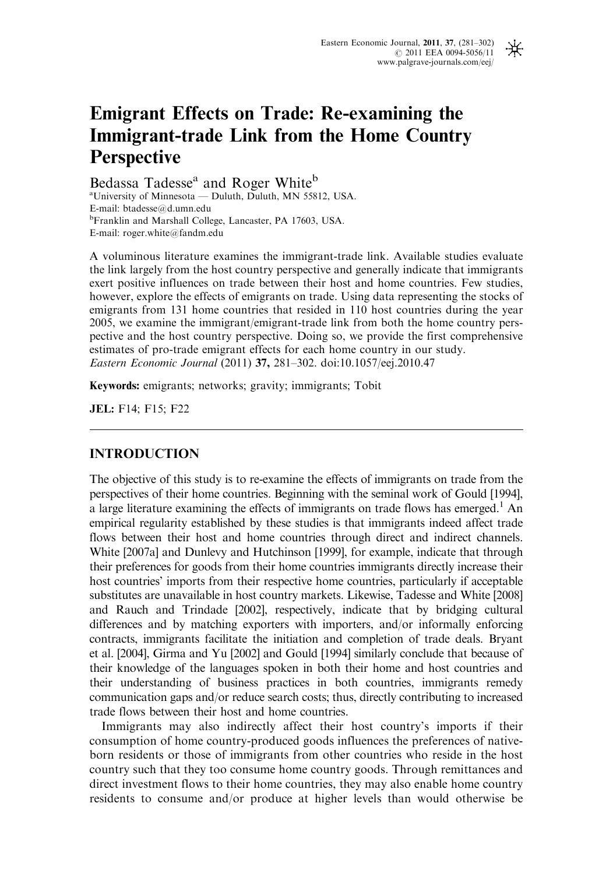# 米

# Emigrant Effects on Trade: Re-examining the Immigrant-trade Link from the Home Country **Perspective**

Bedassa Tadesse<sup>a</sup> and Roger White<sup>b</sup> a University of Minnesota — Duluth, Duluth, MN 55812, USA. E-mail: btadesse@d.umn.edu b Franklin and Marshall College, Lancaster, PA 17603, USA. E-mail: roger.white@fandm.edu

A voluminous literature examines the immigrant-trade link. Available studies evaluate the link largely from the host country perspective and generally indicate that immigrants exert positive influences on trade between their host and home countries. Few studies, however, explore the effects of emigrants on trade. Using data representing the stocks of emigrants from 131 home countries that resided in 110 host countries during the year 2005, we examine the immigrant/emigrant-trade link from both the home country perspective and the host country perspective. Doing so, we provide the first comprehensive estimates of pro-trade emigrant effects for each home country in our study. Eastern Economic Journal (2011) 37, 281–302. doi:10.1057/eej.2010.47

Keywords: emigrants; networks; gravity; immigrants; Tobit

JEL: F14; F15; F22

# INTRODUCTION

The objective of this study is to re-examine the effects of immigrants on trade from the perspectives of their home countries. Beginning with the seminal work of Gould [1994], a large literature examining the effects of immigrants on trade flows has emerged.<sup>1</sup> An empirical regularity established by these studies is that immigrants indeed affect trade flows between their host and home countries through direct and indirect channels. White [2007a] and Dunlevy and Hutchinson [1999], for example, indicate that through their preferences for goods from their home countries immigrants directly increase their host countries' imports from their respective home countries, particularly if acceptable substitutes are unavailable in host country markets. Likewise, Tadesse and White [2008] and Rauch and Trindade [2002], respectively, indicate that by bridging cultural differences and by matching exporters with importers, and/or informally enforcing contracts, immigrants facilitate the initiation and completion of trade deals. Bryant et al. [2004], Girma and Yu [2002] and Gould [1994] similarly conclude that because of their knowledge of the languages spoken in both their home and host countries and their understanding of business practices in both countries, immigrants remedy communication gaps and/or reduce search costs; thus, directly contributing to increased trade flows between their host and home countries.

Immigrants may also indirectly affect their host country's imports if their consumption of home country-produced goods influences the preferences of nativeborn residents or those of immigrants from other countries who reside in the host country such that they too consume home country goods. Through remittances and direct investment flows to their home countries, they may also enable home country residents to consume and/or produce at higher levels than would otherwise be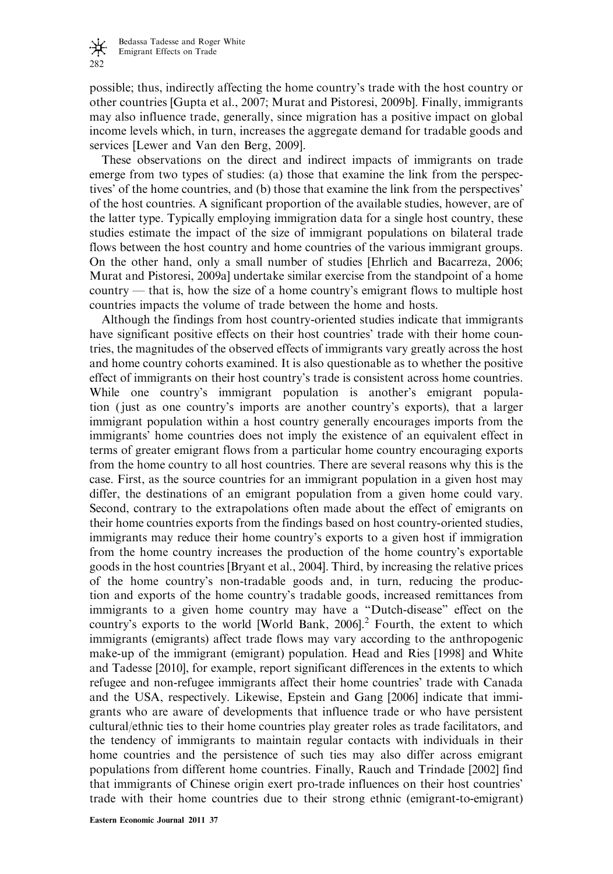282

米

possible; thus, indirectly affecting the home country's trade with the host country or other countries [Gupta et al., 2007; Murat and Pistoresi, 2009b]. Finally, immigrants may also influence trade, generally, since migration has a positive impact on global income levels which, in turn, increases the aggregate demand for tradable goods and services [Lewer and Van den Berg, 2009].

These observations on the direct and indirect impacts of immigrants on trade emerge from two types of studies: (a) those that examine the link from the perspectives' of the home countries, and (b) those that examine the link from the perspectives' of the host countries. A significant proportion of the available studies, however, are of the latter type. Typically employing immigration data for a single host country, these studies estimate the impact of the size of immigrant populations on bilateral trade flows between the host country and home countries of the various immigrant groups. On the other hand, only a small number of studies [Ehrlich and Bacarreza, 2006; Murat and Pistoresi, 2009a] undertake similar exercise from the standpoint of a home country — that is, how the size of a home country's emigrant flows to multiple host countries impacts the volume of trade between the home and hosts.

Although the findings from host country-oriented studies indicate that immigrants have significant positive effects on their host countries' trade with their home countries, the magnitudes of the observed effects of immigrants vary greatly across the host and home country cohorts examined. It is also questionable as to whether the positive effect of immigrants on their host country's trade is consistent across home countries. While one country's immigrant population is another's emigrant population ( just as one country's imports are another country's exports), that a larger immigrant population within a host country generally encourages imports from the immigrants' home countries does not imply the existence of an equivalent effect in terms of greater emigrant flows from a particular home country encouraging exports from the home country to all host countries. There are several reasons why this is the case. First, as the source countries for an immigrant population in a given host may differ, the destinations of an emigrant population from a given home could vary. Second, contrary to the extrapolations often made about the effect of emigrants on their home countries exports from the findings based on host country-oriented studies, immigrants may reduce their home country's exports to a given host if immigration from the home country increases the production of the home country's exportable goods in the host countries [Bryant et al., 2004]. Third, by increasing the relative prices of the home country's non-tradable goods and, in turn, reducing the production and exports of the home country's tradable goods, increased remittances from immigrants to a given home country may have a "Dutch-disease" effect on the country's exports to the world [World Bank, 2006].<sup>2</sup> Fourth, the extent to which immigrants (emigrants) affect trade flows may vary according to the anthropogenic make-up of the immigrant (emigrant) population. Head and Ries [1998] and White and Tadesse [2010], for example, report significant differences in the extents to which refugee and non-refugee immigrants affect their home countries' trade with Canada and the USA, respectively. Likewise, Epstein and Gang [2006] indicate that immigrants who are aware of developments that influence trade or who have persistent cultural/ethnic ties to their home countries play greater roles as trade facilitators, and the tendency of immigrants to maintain regular contacts with individuals in their home countries and the persistence of such ties may also differ across emigrant populations from different home countries. Finally, Rauch and Trindade [2002] find that immigrants of Chinese origin exert pro-trade influences on their host countries' trade with their home countries due to their strong ethnic (emigrant-to-emigrant)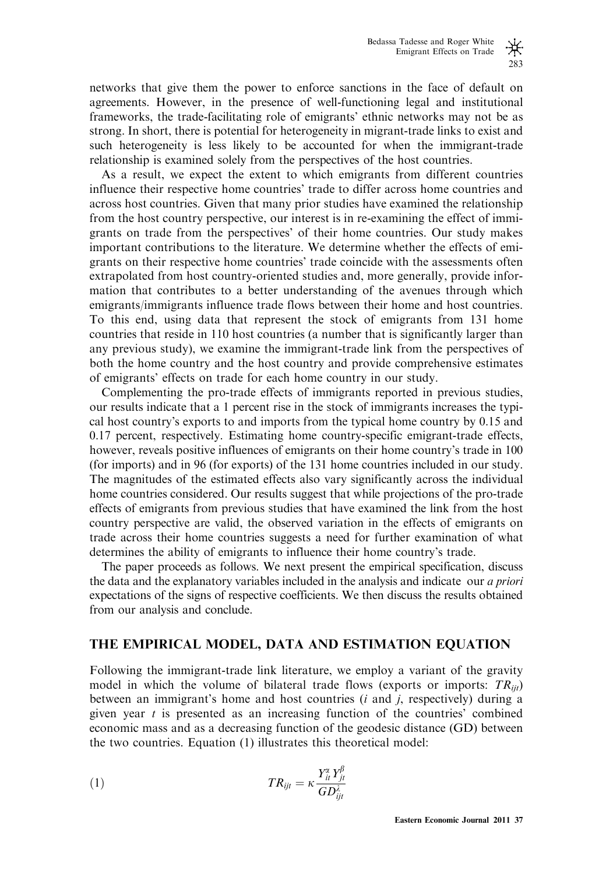networks that give them the power to enforce sanctions in the face of default on agreements. However, in the presence of well-functioning legal and institutional frameworks, the trade-facilitating role of emigrants' ethnic networks may not be as strong. In short, there is potential for heterogeneity in migrant-trade links to exist and such heterogeneity is less likely to be accounted for when the immigrant-trade relationship is examined solely from the perspectives of the host countries.

As a result, we expect the extent to which emigrants from different countries influence their respective home countries' trade to differ across home countries and across host countries. Given that many prior studies have examined the relationship from the host country perspective, our interest is in re-examining the effect of immigrants on trade from the perspectives' of their home countries. Our study makes important contributions to the literature. We determine whether the effects of emigrants on their respective home countries' trade coincide with the assessments often extrapolated from host country-oriented studies and, more generally, provide information that contributes to a better understanding of the avenues through which emigrants/immigrants influence trade flows between their home and host countries. To this end, using data that represent the stock of emigrants from 131 home countries that reside in 110 host countries (a number that is significantly larger than any previous study), we examine the immigrant-trade link from the perspectives of both the home country and the host country and provide comprehensive estimates of emigrants' effects on trade for each home country in our study.

Complementing the pro-trade effects of immigrants reported in previous studies, our results indicate that a 1 percent rise in the stock of immigrants increases the typical host country's exports to and imports from the typical home country by 0.15 and 0.17 percent, respectively. Estimating home country-specific emigrant-trade effects, however, reveals positive influences of emigrants on their home country's trade in 100 (for imports) and in 96 (for exports) of the 131 home countries included in our study. The magnitudes of the estimated effects also vary significantly across the individual home countries considered. Our results suggest that while projections of the pro-trade effects of emigrants from previous studies that have examined the link from the host country perspective are valid, the observed variation in the effects of emigrants on trade across their home countries suggests a need for further examination of what determines the ability of emigrants to influence their home country's trade.

The paper proceeds as follows. We next present the empirical specification, discuss the data and the explanatory variables included in the analysis and indicate our *a priori* expectations of the signs of respective coefficients. We then discuss the results obtained from our analysis and conclude.

## THE EMPIRICAL MODEL, DATA AND ESTIMATION EQUATION

Following the immigrant-trade link literature, we employ a variant of the gravity model in which the volume of bilateral trade flows (exports or imports:  $TR_{iii}$ ) between an immigrant's home and host countries  $(i \text{ and } j$ , respectively) during a given year  $t$  is presented as an increasing function of the countries' combined economic mass and as a decreasing function of the geodesic distance (GD) between the two countries. Equation (1) illustrates this theoretical model:

$$
(1) \t T R_{ijt} = \kappa \frac{Y_{it}^{\alpha} Y_{jt}^{\beta}}{GD_{ijt}^{\lambda}}
$$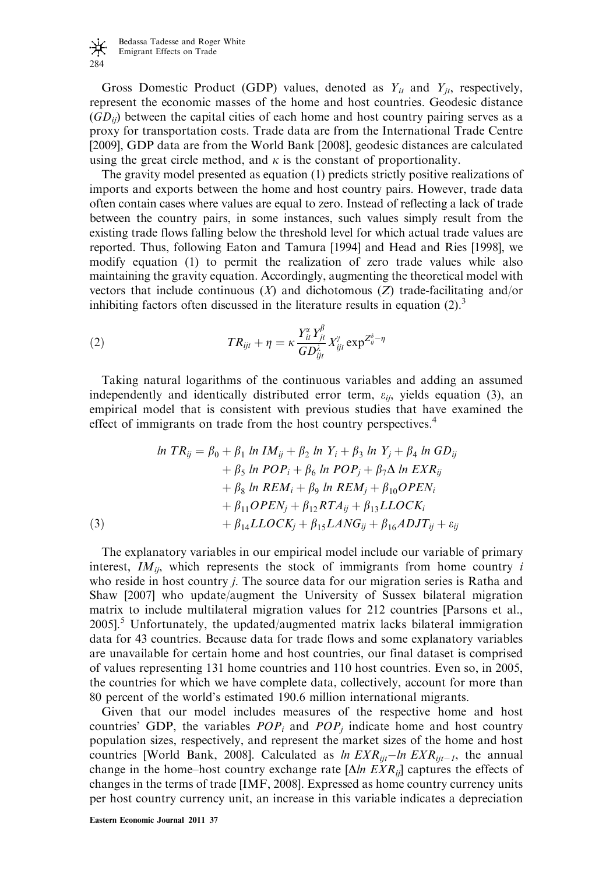Bedassa Tadesse and Roger White ≭ Emigrant Effects on Trade 284

Gross Domestic Product (GDP) values, denoted as  $Y_{it}$  and  $Y_{jt}$ , respectively, represent the economic masses of the home and host countries. Geodesic distance  $(GD_{ii})$  between the capital cities of each home and host country pairing serves as a proxy for transportation costs. Trade data are from the International Trade Centre [2009], GDP data are from the World Bank [2008], geodesic distances are calculated using the great circle method, and  $\kappa$  is the constant of proportionality.

The gravity model presented as equation (1) predicts strictly positive realizations of imports and exports between the home and host country pairs. However, trade data often contain cases where values are equal to zero. Instead of reflecting a lack of trade between the country pairs, in some instances, such values simply result from the existing trade flows falling below the threshold level for which actual trade values are reported. Thus, following Eaton and Tamura [1994] and Head and Ries [1998], we modify equation (1) to permit the realization of zero trade values while also maintaining the gravity equation. Accordingly, augmenting the theoretical model with vectors that include continuous  $(X)$  and dichotomous  $(Z)$  trade-facilitating and/or inhibiting factors often discussed in the literature results in equation  $(2)$ .<sup>3</sup>

(2) 
$$
TR_{ijt} + \eta = \kappa \frac{Y_{it}^{\alpha} Y_{jt}^{\beta}}{GD_{ijt}^{\lambda}} X_{ijt}^{\gamma} \exp^{Z_{ij}^{\delta} - \eta}
$$

Taking natural logarithms of the continuous variables and adding an assumed independently and identically distributed error term,  $\varepsilon_{ij}$ , yields equation (3), an empirical model that is consistent with previous studies that have examined the effect of immigrants on trade from the host country perspectives.<sup>4</sup>

(3)  
\n
$$
\ln TR_{ij} = \beta_0 + \beta_1 \ln IM_{ij} + \beta_2 \ln Y_i + \beta_3 \ln Y_j + \beta_4 \ln GD_{ij} \n+ \beta_5 \ln POP_i + \beta_6 \ln POP_j + \beta_7 \Delta \ln EXP_{ij} \n+ \beta_8 \ln REM_i + \beta_9 \ln REM_j + \beta_{10} OPEN_i \n+ \beta_{11} OPEN_j + \beta_{12} RTA_{ij} + \beta_{13} LLOCK_i \n+ \beta_{14} LLOCK_j + \beta_{15} LANG_{ij} + \beta_{16} ADJT_{ij} + \varepsilon_{ij}
$$

The explanatory variables in our empirical model include our variable of primary interest,  $IM_{ii}$ , which represents the stock of immigrants from home country i who reside in host country *j*. The source data for our migration series is Ratha and Shaw [2007] who update/augment the University of Sussex bilateral migration matrix to include multilateral migration values for 212 countries [Parsons et al.,  $2005$ ].<sup>5</sup> Unfortunately, the updated/augmented matrix lacks bilateral immigration data for 43 countries. Because data for trade flows and some explanatory variables are unavailable for certain home and host countries, our final dataset is comprised of values representing 131 home countries and 110 host countries. Even so, in 2005, the countries for which we have complete data, collectively, account for more than 80 percent of the world's estimated 190.6 million international migrants.

Given that our model includes measures of the respective home and host countries' GDP, the variables  $POP_i$  and  $POP_j$  indicate home and host country population sizes, respectively, and represent the market sizes of the home and host countries [World Bank, 2008]. Calculated as  $ln \, EXP_{ijt}$ - $ln \, EXP_{ijt-1}$ , the annual change in the home–host country exchange rate  $[\Delta ln EXR_{ii}]$  captures the effects of changes in the terms of trade [IMF, 2008]. Expressed as home country currency units per host country currency unit, an increase in this variable indicates a depreciation

Eastern Economic Journal 2011 37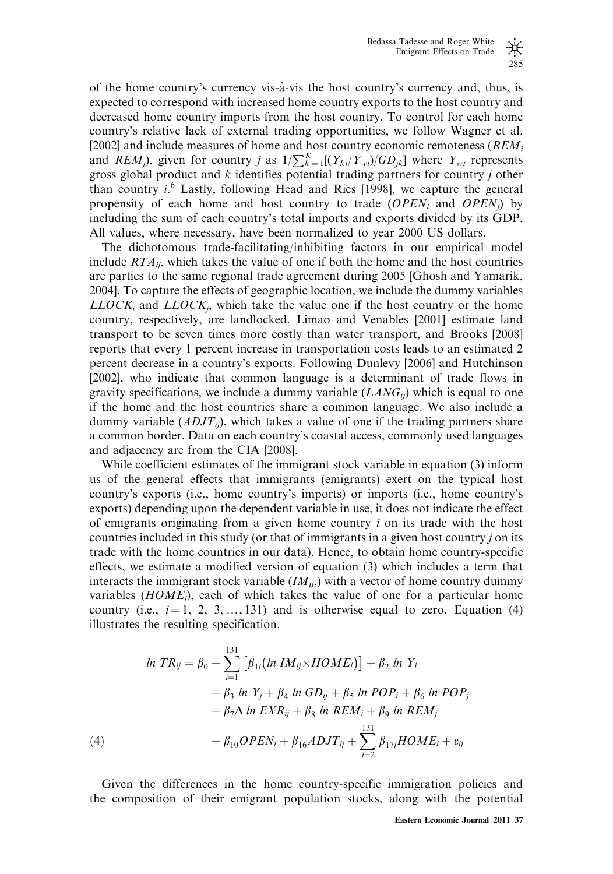of the home country's currency vis-a`-vis the host country's currency and, thus, is expected to correspond with increased home country exports to the host country and decreased home country imports from the host country. To control for each home country's relative lack of external trading opportunities, we follow Wagner et al. [2002] and include measures of home and host country economic remoteness ( $REM_i$ ) and REM<sub>j</sub>), given for country j as  $1/\sum_{k=1}^{K} [(Y_{kt}/Y_{wt})/GD_{jk}]$  where  $Y_{wt}$  represents gross global product and k identifies potential trading partners for country j other than country  $i$ .<sup>6</sup> Lastly, following Head and Ries [1998], we capture the general propensity of each home and host country to trade  $(OPEN<sub>i</sub>$  and  $OPEN<sub>i</sub>$ ) by including the sum of each country's total imports and exports divided by its GDP. All values, where necessary, have been normalized to year 2000 US dollars.

The dichotomous trade-facilitating/inhibiting factors in our empirical model include  $RTA_{ii}$ , which takes the value of one if both the home and the host countries are parties to the same regional trade agreement during 2005 [Ghosh and Yamarik, 2004]. To capture the effects of geographic location, we include the dummy variables  $LLOCK<sub>i</sub>$  and  $LLOCK<sub>i</sub>$ , which take the value one if the host country or the home country, respectively, are landlocked. Limao and Venables [2001] estimate land transport to be seven times more costly than water transport, and Brooks [2008] reports that every 1 percent increase in transportation costs leads to an estimated 2 percent decrease in a country's exports. Following Dunlevy [2006] and Hutchinson [2002], who indicate that common language is a determinant of trade flows in gravity specifications, we include a dummy variable  $(LANG_{ij})$  which is equal to one if the home and the host countries share a common language. We also include a dummy variable  $(ADJT_{ii})$ , which takes a value of one if the trading partners share a common border. Data on each country's coastal access, commonly used languages and adjacency are from the CIA [2008].

While coefficient estimates of the immigrant stock variable in equation (3) inform us of the general effects that immigrants (emigrants) exert on the typical host country's exports (i.e., home country's imports) or imports (i.e., home country's exports) depending upon the dependent variable in use, it does not indicate the effect of emigrants originating from a given home country  $i$  on its trade with the host countries included in this study (or that of immigrants in a given host country  $\dot{j}$  on its trade with the home countries in our data). Hence, to obtain home country-specific effects, we estimate a modified version of equation (3) which includes a term that interacts the immigrant stock variable  $(IM_{ii})$  with a vector of home country dummy variables  $(HOME_i)$ , each of which takes the value of one for a particular home country (i.e.,  $i = 1, 2, 3, \dots, 131$ ) and is otherwise equal to zero. Equation (4) illustrates the resulting specification.

$$
\ln TR_{ij} = \beta_0 + \sum_{i=1}^{131} [\beta_{1i} (ln IM_{ij} \times HOME_i)] + \beta_2 ln Y_i + \beta_3 ln Y_j + \beta_4 ln GD_{ij} + \beta_5 ln POP_i + \beta_6 ln POP_j + \beta_7 \Delta ln EXP_{ij} + \beta_8 ln REM_i + \beta_9 ln REM_j + \beta_{10} OPEN_i + \beta_{16} ADJT_{ij} + \sum_{j=2}^{131} \beta_{17j} HOME_i + \varepsilon_{ij}
$$
\n(4)

Given the differences in the home country-specific immigration policies and the composition of their emigrant population stocks, along with the potential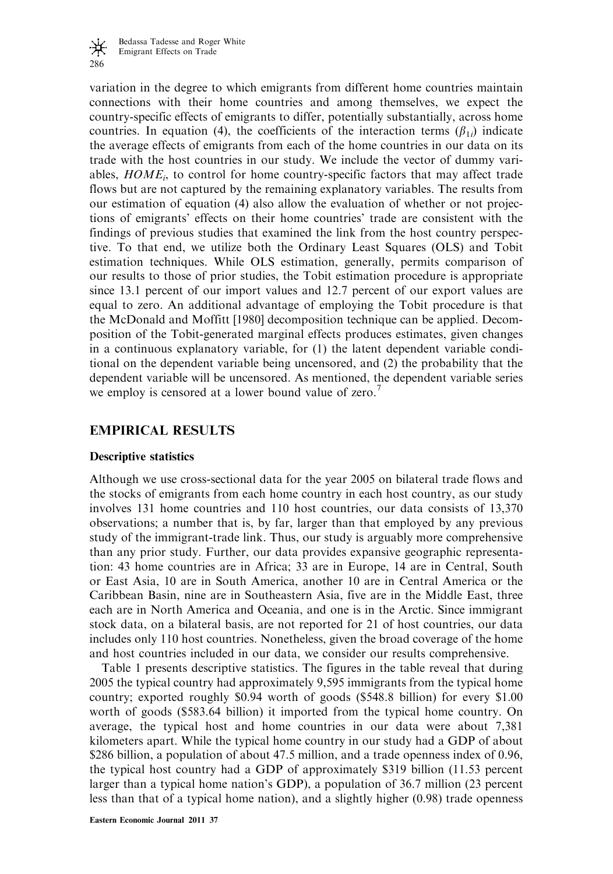

variation in the degree to which emigrants from different home countries maintain connections with their home countries and among themselves, we expect the country-specific effects of emigrants to differ, potentially substantially, across home countries. In equation (4), the coefficients of the interaction terms ( $\beta_{1i}$ ) indicate the average effects of emigrants from each of the home countries in our data on its trade with the host countries in our study. We include the vector of dummy variables,  $HOME_i$ , to control for home country-specific factors that may affect trade flows but are not captured by the remaining explanatory variables. The results from our estimation of equation (4) also allow the evaluation of whether or not projections of emigrants' effects on their home countries' trade are consistent with the findings of previous studies that examined the link from the host country perspective. To that end, we utilize both the Ordinary Least Squares (OLS) and Tobit estimation techniques. While OLS estimation, generally, permits comparison of our results to those of prior studies, the Tobit estimation procedure is appropriate since 13.1 percent of our import values and 12.7 percent of our export values are equal to zero. An additional advantage of employing the Tobit procedure is that the McDonald and Moffitt [1980] decomposition technique can be applied. Decomposition of the Tobit-generated marginal effects produces estimates, given changes in a continuous explanatory variable, for (1) the latent dependent variable conditional on the dependent variable being uncensored, and (2) the probability that the dependent variable will be uncensored. As mentioned, the dependent variable series we employ is censored at a lower bound value of zero.<sup>7</sup>

# EMPIRICAL RESULTS

# Descriptive statistics

Although we use cross-sectional data for the year 2005 on bilateral trade flows and the stocks of emigrants from each home country in each host country, as our study involves 131 home countries and 110 host countries, our data consists of 13,370 observations; a number that is, by far, larger than that employed by any previous study of the immigrant-trade link. Thus, our study is arguably more comprehensive than any prior study. Further, our data provides expansive geographic representation: 43 home countries are in Africa; 33 are in Europe, 14 are in Central, South or East Asia, 10 are in South America, another 10 are in Central America or the Caribbean Basin, nine are in Southeastern Asia, five are in the Middle East, three each are in North America and Oceania, and one is in the Arctic. Since immigrant stock data, on a bilateral basis, are not reported for 21 of host countries, our data includes only 110 host countries. Nonetheless, given the broad coverage of the home and host countries included in our data, we consider our results comprehensive.

Table 1 presents descriptive statistics. The figures in the table reveal that during 2005 the typical country had approximately 9,595 immigrants from the typical home country; exported roughly \$0.94 worth of goods (\$548.8 billion) for every \$1.00 worth of goods (\$583.64 billion) it imported from the typical home country. On average, the typical host and home countries in our data were about 7,381 kilometers apart. While the typical home country in our study had a GDP of about \$286 billion, a population of about 47.5 million, and a trade openness index of 0.96, the typical host country had a GDP of approximately \$319 billion (11.53 percent larger than a typical home nation's GDP), a population of 36.7 million (23 percent less than that of a typical home nation), and a slightly higher (0.98) trade openness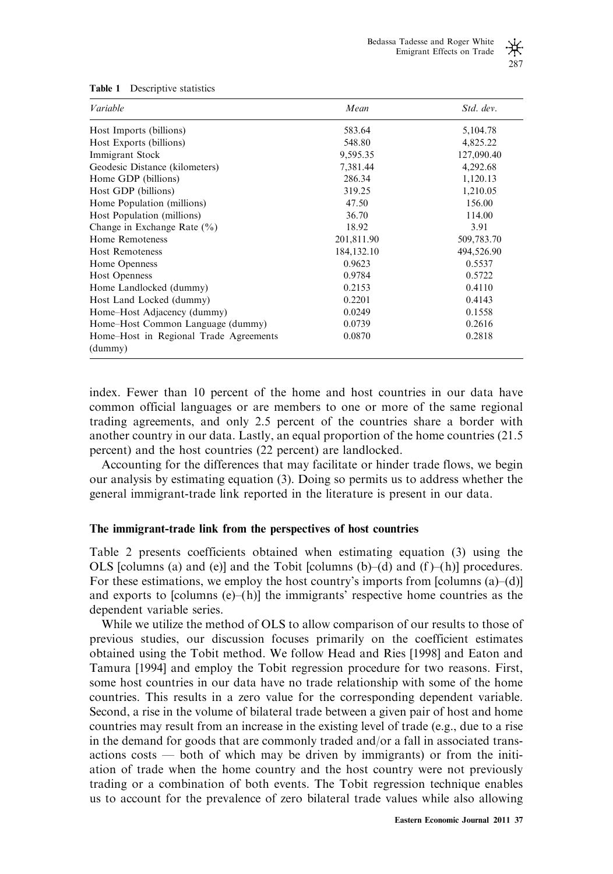| Variable                                          | Mean         | Std. dev.  |
|---------------------------------------------------|--------------|------------|
| Host Imports (billions)                           | 583.64       | 5,104.78   |
| Host Exports (billions)                           | 548.80       | 4,825.22   |
| Immigrant Stock                                   | 9,595.35     | 127,090.40 |
| Geodesic Distance (kilometers)                    | 7,381.44     | 4,292.68   |
| Home GDP (billions)                               | 286.34       | 1,120.13   |
| Host GDP (billions)                               | 319.25       | 1,210.05   |
| Home Population (millions)                        | 47.50        | 156.00     |
| Host Population (millions)                        | 36.70        | 114.00     |
| Change in Exchange Rate $(\%$ )                   | 18.92        | 3.91       |
| Home Remoteness                                   | 201,811.90   | 509,783.70 |
| <b>Host Remoteness</b>                            | 184, 132. 10 | 494,526.90 |
| Home Openness                                     | 0.9623       | 0.5537     |
| <b>Host Openness</b>                              | 0.9784       | 0.5722     |
| Home Landlocked (dummy)                           | 0.2153       | 0.4110     |
| Host Land Locked (dummy)                          | 0.2201       | 0.4143     |
| Home–Host Adjacency (dummy)                       | 0.0249       | 0.1558     |
| Home–Host Common Language (dummy)                 | 0.0739       | 0.2616     |
| Home–Host in Regional Trade Agreements<br>(dummy) | 0.0870       | 0.2818     |

#### Table 1 Descriptive statistics

index. Fewer than 10 percent of the home and host countries in our data have common official languages or are members to one or more of the same regional trading agreements, and only 2.5 percent of the countries share a border with another country in our data. Lastly, an equal proportion of the home countries (21.5 percent) and the host countries (22 percent) are landlocked.

Accounting for the differences that may facilitate or hinder trade flows, we begin our analysis by estimating equation (3). Doing so permits us to address whether the general immigrant-trade link reported in the literature is present in our data.

#### The immigrant-trade link from the perspectives of host countries

Table 2 presents coefficients obtained when estimating equation (3) using the OLS [columns (a) and (e)] and the Tobit [columns (b)–(d) and  $(f)$ –(h)] procedures. For these estimations, we employ the host country's imports from [columns  $(a)$ – $(d)$ ] and exports to [columns  $(e)$ –(h)] the immigrants' respective home countries as the dependent variable series.

While we utilize the method of OLS to allow comparison of our results to those of previous studies, our discussion focuses primarily on the coefficient estimates obtained using the Tobit method. We follow Head and Ries [1998] and Eaton and Tamura [1994] and employ the Tobit regression procedure for two reasons. First, some host countries in our data have no trade relationship with some of the home countries. This results in a zero value for the corresponding dependent variable. Second, a rise in the volume of bilateral trade between a given pair of host and home countries may result from an increase in the existing level of trade (e.g., due to a rise in the demand for goods that are commonly traded and/or a fall in associated transactions costs — both of which may be driven by immigrants) or from the initiation of trade when the home country and the host country were not previously trading or a combination of both events. The Tobit regression technique enables us to account for the prevalence of zero bilateral trade values while also allowing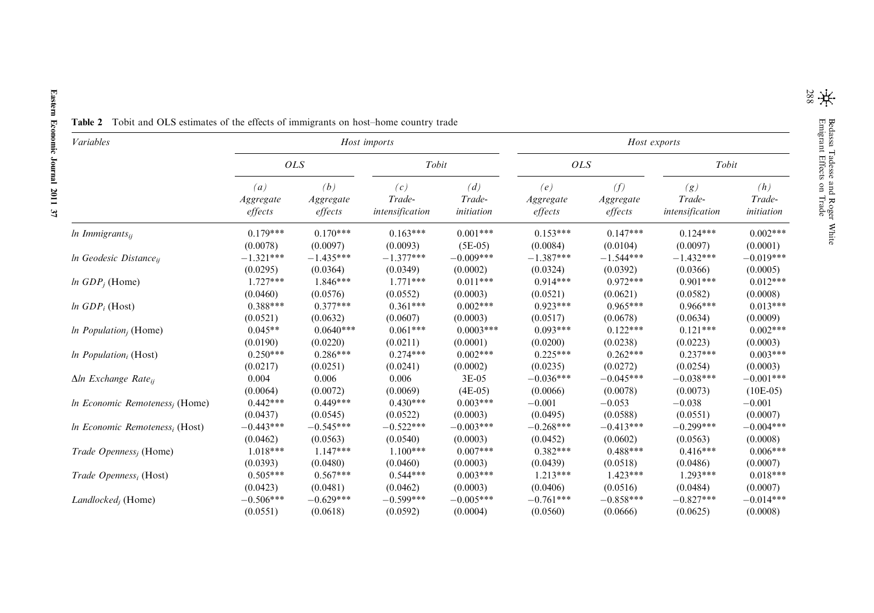| Variables                                        |                                          | Host imports                       |                                  |                                     | Host exports                |                             |                                  |                                    |
|--------------------------------------------------|------------------------------------------|------------------------------------|----------------------------------|-------------------------------------|-----------------------------|-----------------------------|----------------------------------|------------------------------------|
|                                                  |                                          | <b>OLS</b>                         | Tobit                            |                                     | <b>OLS</b>                  |                             | Tobit                            |                                    |
|                                                  | $\left(a\right)$<br>Aggregate<br>effects | (b)<br>Aggregate<br>effects        | (c)<br>Trade-<br>intensification | (d)<br>Trade-<br>initiation         | (e)<br>Aggregate<br>effects | (f)<br>Aggregate<br>effects | (g)<br>Trade-<br>intensification | (h)<br>Trade-<br>initiation        |
| $ln$ Immigrants <sub>ij</sub>                    | $0.179***$                               | $0.170***$                         | $0.163***$                       | $0.001***$                          | $0.153***$                  | $0.147***$                  | $0.124***$                       | $0.002***$                         |
|                                                  | (0.0078)                                 | (0.0097)                           | (0.0093)                         | $(5E-05)$                           | (0.0084)                    | (0.0104)                    | (0.0097)                         | (0.0001)                           |
| In Geodesic Distance <sub>ii</sub>               | $-1.321***$                              | $-1.435***$                        | $-1.377***$                      | $-0.009***$                         | $-1.387***$                 | $-1.544***$                 | $-1.432***$                      | $-0.019***$                        |
|                                                  | (0.0295)                                 | (0.0364)                           | (0.0349)                         | (0.0002)                            | (0.0324)                    | (0.0392)                    | (0.0366)                         | (0.0005)                           |
| $ln GDP_i$ (Home)                                | $1.727***$                               | 1.846***                           | $1.771***$                       | $0.011***$                          | $0.914***$                  | $0.972***$                  | $0.901***$                       | $0.012***$                         |
|                                                  | (0.0460)                                 | (0.0576)                           | (0.0552)                         | (0.0003)                            | (0.0521)                    | (0.0621)                    | (0.0582)                         | (0.0008)                           |
| $ln GDP_i$ (Host)                                | $0.388***$                               | $0.377***$                         | $0.361***$                       | $0.002***$                          | $0.923***$                  | $0.965***$                  | $0.966***$                       | $0.013***$                         |
|                                                  | (0.0521)                                 | (0.0632)                           | (0.0607)                         | (0.0003)                            | (0.0517)                    | (0.0678)                    | (0.0634)                         | (0.0009)                           |
| In Population <sub>j</sub> (Home)                | $0.045**$                                | $0.0640***$<br>(0.0220)            | $0.061***$<br>(0.0211)           | $0.0003***$<br>(0.0001)             | $0.093***$<br>(0.0200)      | $0.122***$                  | $0.121***$<br>(0.0223)           | $0.002***$                         |
| In Population <sub>i</sub> (Host)                | (0.0190)<br>$0.250***$                   | $0.286***$                         | $0.274***$                       | $0.002***$                          | $0.225***$                  | (0.0238)<br>$0.262***$      | $0.237***$                       | (0.0003)<br>$0.003***$             |
| $\Delta ln$ Exchange Rate <sub>ij</sub>          | (0.0217)                                 | (0.0251)                           | (0.0241)                         | (0.0002)                            | (0.0235)                    | (0.0272)                    | (0.0254)                         | (0.0003)                           |
|                                                  | 0.004                                    | 0.006                              | 0.006                            | 3E-05                               | $-0.036***$                 | $-0.045***$                 | $-0.038***$                      | $-0.001***$                        |
| <i>ln Economic Remoteness<sub>i</sub></i> (Home) | (0.0064)<br>$0.442***$<br>(0.0437)       | (0.0072)<br>$0.449***$<br>(0.0545) | (0.0069)<br>$0.430***$           | $(4E-05)$<br>$0.003***$<br>(0.0003) | (0.0066)<br>$-0.001$        | (0.0078)<br>$-0.053$        | (0.0073)<br>$-0.038$<br>(0.0551) | $(10E-05)$<br>$-0.001$<br>(0.0007) |
| In Economic Remoteness <sub>i</sub> (Host)       | $-0.443***$                              | $-0.545***$                        | (0.0522)<br>$-0.522***$          | $-0.003***$                         | (0.0495)<br>$-0.268***$     | (0.0588)<br>$-0.413***$     | $-0.299***$                      | $-0.004***$                        |
| <i>Trade Openness<sub>i</sub></i> (Home)         | (0.0462)                                 | (0.0563)                           | (0.0540)                         | (0.0003)                            | (0.0452)                    | (0.0602)                    | (0.0563)                         | (0.0008)                           |
|                                                  | $1.018***$                               | $1.147***$                         | $1.100***$                       | $0.007***$                          | $0.382***$                  | $0.488***$                  | $0.416***$                       | $0.006***$                         |
| <i>Trade Openness<sub>i</sub></i> (Host)         | (0.0393)                                 | (0.0480)                           | (0.0460)                         | (0.0003)                            | (0.0439)                    | (0.0518)                    | (0.0486)                         | (0.0007)                           |
|                                                  | $0.505***$                               | $0.567***$                         | $0.544***$                       | $0.003***$                          | $1.213***$                  | $1.423***$                  | $1.293***$                       | $0.018***$                         |
| Landlocked <sub>i</sub> (Home)                   | (0.0423)                                 | (0.0481)                           | (0.0462)                         | (0.0003)                            | (0.0406)                    | (0.0516)                    | (0.0484)                         | (0.0007)                           |
|                                                  | $-0.506***$                              | $-0.629***$                        | $-0.599***$                      | $-0.005***$                         | $-0.761***$                 | $-0.858***$                 | $-0.827***$                      | $-0.014***$                        |

 $(0.0551)$   $(0.0618)$   $(0.0592)$   $(0.0004)$   $(0.0560)$   $(0.0666)$   $(0.0625)$   $(0.0008)$ 

Table 2 Tobit and OLS estimates of the effects of immigrants on host–home country trade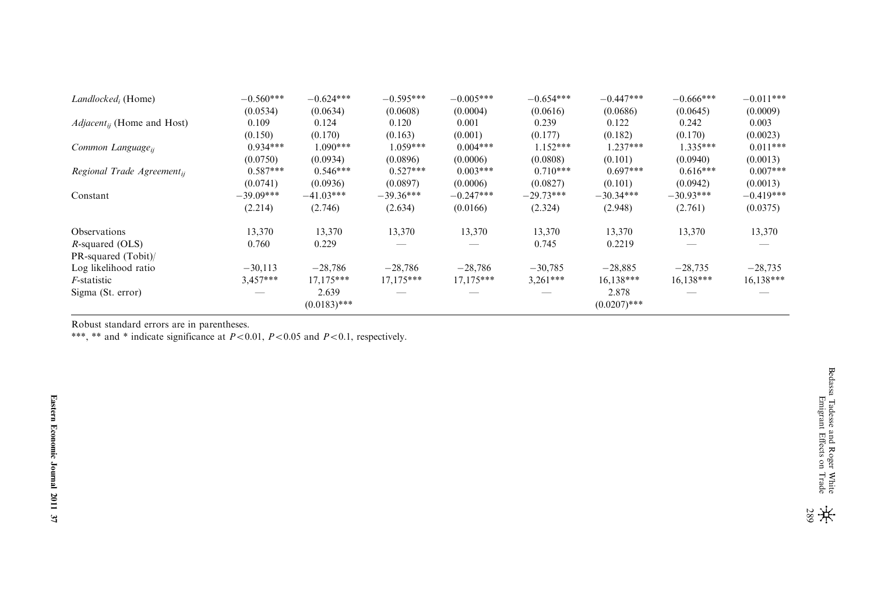| Landlocked <sub>i</sub> (Home)         | $-0.560***$ | $-0.624***$    | $-0.595***$ | $-0.005***$ | $-0.654***$ | $-0.447***$    | $-0.666***$ | $-0.011***$ |
|----------------------------------------|-------------|----------------|-------------|-------------|-------------|----------------|-------------|-------------|
|                                        | (0.0534)    | (0.0634)       | (0.0608)    | (0.0004)    | (0.0616)    | (0.0686)       | (0.0645)    | (0.0009)    |
| $Adiacent_{ii}$ (Home and Host)        | 0.109       | 0.124          | 0.120       | 0.001       | 0.239       | 0.122          | 0.242       | 0.003       |
|                                        | (0.150)     | (0.170)        | (0.163)     | (0.001)     | (0.177)     | (0.182)        | (0.170)     | (0.0023)    |
| Common Language <sub>ii</sub>          | $0.934***$  | $1.090***$     | $1.059***$  | $0.004***$  | $1.152***$  | $1.237***$     | 1.335***    | $0.011***$  |
|                                        | (0.0750)    | (0.0934)       | (0.0896)    | (0.0006)    | (0.0808)    | (0.101)        | (0.0940)    | (0.0013)    |
| Regional Trade Agreement <sub>ij</sub> | $0.587***$  | $0.546***$     | $0.527***$  | $0.003***$  | $0.710***$  | $0.697***$     | $0.616***$  | $0.007***$  |
|                                        | (0.0741)    | (0.0936)       | (0.0897)    | (0.0006)    | (0.0827)    | (0.101)        | (0.0942)    | (0.0013)    |
| Constant                               | $-39.09***$ | $-41.03***$    | $-39.36***$ | $-0.247***$ | $-29.73***$ | $-30.34***$    | $-30.93***$ | $-0.419***$ |
|                                        | (2.214)     | (2.746)        | (2.634)     | (0.0166)    | (2.324)     | (2.948)        | (2.761)     | (0.0375)    |
| Observations                           | 13,370      | 13,370         | 13,370      | 13,370      | 13,370      | 13,370         | 13,370      | 13,370      |
| <i>R</i> -squared (OLS)                | 0.760       | 0.229          |             |             | 0.745       | 0.2219         |             |             |
| PR-squared (Tobit)/                    |             |                |             |             |             |                |             |             |
| Log likelihood ratio                   | $-30,113$   | $-28,786$      | $-28,786$   | $-28,786$   | $-30,785$   | $-28,885$      | $-28,735$   | $-28,735$   |
| <i>F</i> -statistic                    | $3,457***$  | $17,175***$    | $17,175***$ | $17,175***$ | $3,261***$  | $16,138***$    | $16,138***$ | $16,138***$ |
| Sigma (St. error)                      |             | 2.639          |             |             |             | 2.878          |             |             |
|                                        |             | $(0.0183)$ *** |             |             |             | $(0.0207)$ *** |             |             |

Robust standard errors are in parentheses.

\*\*\*, \*\* and \* indicate significance at  $P < 0.01$ ,  $P < 0.05$  and  $P < 0.1$ , respectively.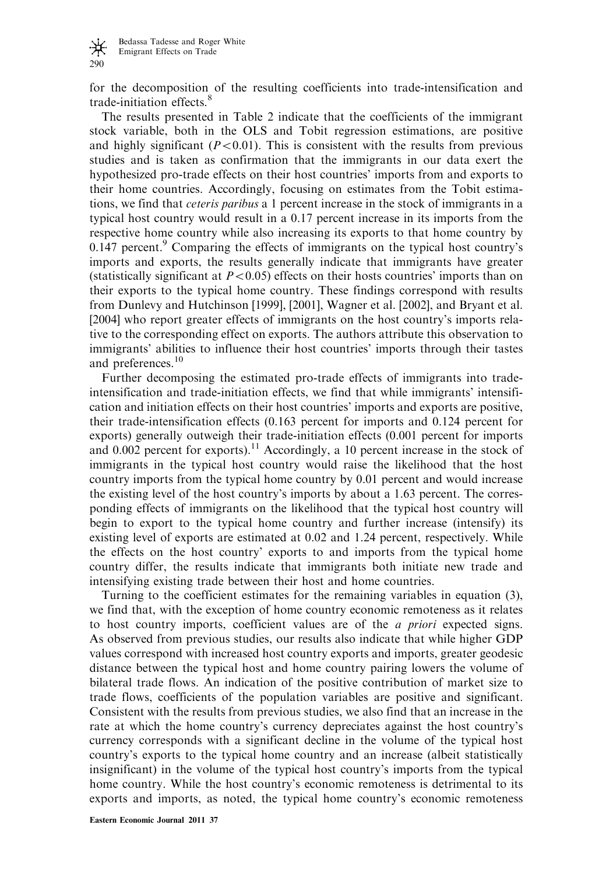for the decomposition of the resulting coefficients into trade-intensification and trade-initiation effects.<sup>8</sup>

The results presented in Table 2 indicate that the coefficients of the immigrant stock variable, both in the OLS and Tobit regression estimations, are positive and highly significant ( $P < 0.01$ ). This is consistent with the results from previous studies and is taken as confirmation that the immigrants in our data exert the hypothesized pro-trade effects on their host countries' imports from and exports to their home countries. Accordingly, focusing on estimates from the Tobit estimations, we find that *ceteris paribus* a 1 percent increase in the stock of immigrants in a typical host country would result in a 0.17 percent increase in its imports from the respective home country while also increasing its exports to that home country by  $0.147$  percent.<sup>9</sup> Comparing the effects of immigrants on the typical host country's imports and exports, the results generally indicate that immigrants have greater (statistically significant at  $P < 0.05$ ) effects on their hosts countries' imports than on their exports to the typical home country. These findings correspond with results from Dunlevy and Hutchinson [1999], [2001], Wagner et al. [2002], and Bryant et al. [2004] who report greater effects of immigrants on the host country's imports relative to the corresponding effect on exports. The authors attribute this observation to immigrants' abilities to influence their host countries' imports through their tastes and preferences.<sup>10</sup>

Further decomposing the estimated pro-trade effects of immigrants into tradeintensification and trade-initiation effects, we find that while immigrants' intensification and initiation effects on their host countries' imports and exports are positive, their trade-intensification effects (0.163 percent for imports and 0.124 percent for exports) generally outweigh their trade-initiation effects (0.001 percent for imports and  $0.002$  percent for exports).<sup>11</sup> Accordingly, a 10 percent increase in the stock of immigrants in the typical host country would raise the likelihood that the host country imports from the typical home country by 0.01 percent and would increase the existing level of the host country's imports by about a 1.63 percent. The corresponding effects of immigrants on the likelihood that the typical host country will begin to export to the typical home country and further increase (intensify) its existing level of exports are estimated at 0.02 and 1.24 percent, respectively. While the effects on the host country' exports to and imports from the typical home country differ, the results indicate that immigrants both initiate new trade and intensifying existing trade between their host and home countries.

Turning to the coefficient estimates for the remaining variables in equation (3), we find that, with the exception of home country economic remoteness as it relates to host country imports, coefficient values are of the *a priori* expected signs. As observed from previous studies, our results also indicate that while higher GDP values correspond with increased host country exports and imports, greater geodesic distance between the typical host and home country pairing lowers the volume of bilateral trade flows. An indication of the positive contribution of market size to trade flows, coefficients of the population variables are positive and significant. Consistent with the results from previous studies, we also find that an increase in the rate at which the home country's currency depreciates against the host country's currency corresponds with a significant decline in the volume of the typical host country's exports to the typical home country and an increase (albeit statistically insignificant) in the volume of the typical host country's imports from the typical home country. While the host country's economic remoteness is detrimental to its exports and imports, as noted, the typical home country's economic remoteness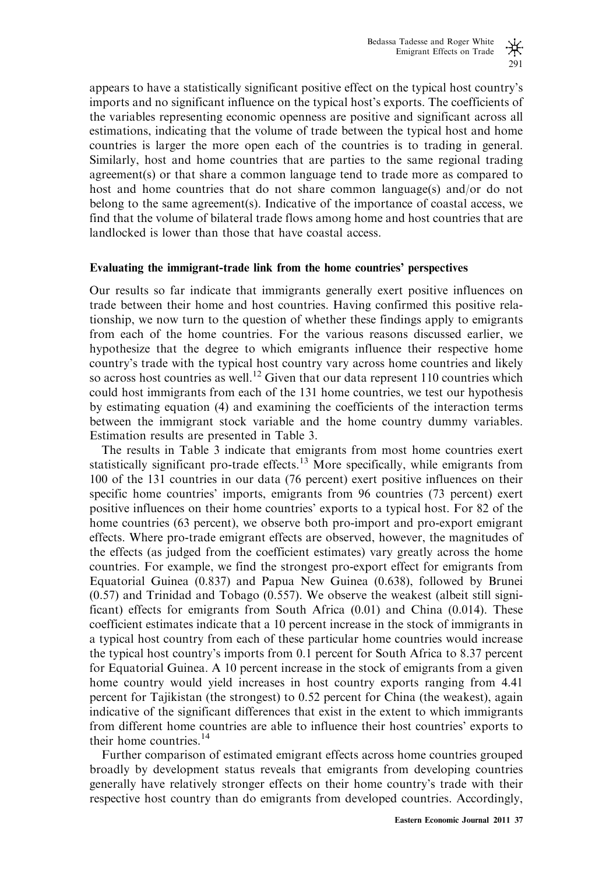# 米 291

appears to have a statistically significant positive effect on the typical host country's imports and no significant influence on the typical host's exports. The coefficients of the variables representing economic openness are positive and significant across all estimations, indicating that the volume of trade between the typical host and home countries is larger the more open each of the countries is to trading in general. Similarly, host and home countries that are parties to the same regional trading agreement(s) or that share a common language tend to trade more as compared to host and home countries that do not share common language(s) and/or do not belong to the same agreement(s). Indicative of the importance of coastal access, we find that the volume of bilateral trade flows among home and host countries that are landlocked is lower than those that have coastal access.

### Evaluating the immigrant-trade link from the home countries' perspectives

Our results so far indicate that immigrants generally exert positive influences on trade between their home and host countries. Having confirmed this positive relationship, we now turn to the question of whether these findings apply to emigrants from each of the home countries. For the various reasons discussed earlier, we hypothesize that the degree to which emigrants influence their respective home country's trade with the typical host country vary across home countries and likely so across host countries as well.<sup>12</sup> Given that our data represent 110 countries which could host immigrants from each of the 131 home countries, we test our hypothesis by estimating equation (4) and examining the coefficients of the interaction terms between the immigrant stock variable and the home country dummy variables. Estimation results are presented in Table 3.

The results in Table 3 indicate that emigrants from most home countries exert statistically significant pro-trade effects.<sup>13</sup> More specifically, while emigrants from 100 of the 131 countries in our data (76 percent) exert positive influences on their specific home countries' imports, emigrants from 96 countries (73 percent) exert positive influences on their home countries' exports to a typical host. For 82 of the home countries (63 percent), we observe both pro-import and pro-export emigrant effects. Where pro-trade emigrant effects are observed, however, the magnitudes of the effects (as judged from the coefficient estimates) vary greatly across the home countries. For example, we find the strongest pro-export effect for emigrants from Equatorial Guinea (0.837) and Papua New Guinea (0.638), followed by Brunei (0.57) and Trinidad and Tobago (0.557). We observe the weakest (albeit still significant) effects for emigrants from South Africa (0.01) and China (0.014). These coefficient estimates indicate that a 10 percent increase in the stock of immigrants in a typical host country from each of these particular home countries would increase the typical host country's imports from 0.1 percent for South Africa to 8.37 percent for Equatorial Guinea. A 10 percent increase in the stock of emigrants from a given home country would yield increases in host country exports ranging from 4.41 percent for Tajikistan (the strongest) to 0.52 percent for China (the weakest), again indicative of the significant differences that exist in the extent to which immigrants from different home countries are able to influence their host countries' exports to their home countries.<sup>14</sup>

Further comparison of estimated emigrant effects across home countries grouped broadly by development status reveals that emigrants from developing countries generally have relatively stronger effects on their home country's trade with their respective host country than do emigrants from developed countries. Accordingly,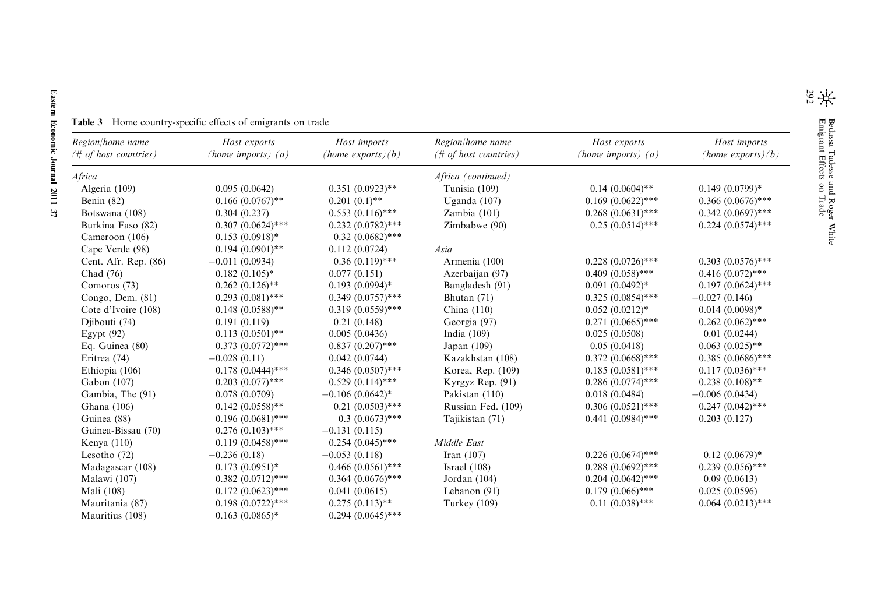| Region/home name<br>$(\# of host countries)$ | Host exports<br>(home imports) $(a)$ | Host imports<br>$(home\, exports)(b)$ | Region/home name<br>$(\# of host countries)$ | Host exports<br>(home imports) $(a)$ | Host imports<br>$(home\, exports)$ $(b)$ |
|----------------------------------------------|--------------------------------------|---------------------------------------|----------------------------------------------|--------------------------------------|------------------------------------------|
| Africa                                       |                                      |                                       | Africa (continued)                           |                                      |                                          |
| Algeria (109)                                | 0.095(0.0642)                        | $0.351(0.0923)$ **                    | Tunisia (109)                                | $0.14(0.0604)$ **                    | $0.149(0.0799)*$                         |
| Benin $(82)$                                 | $0.166(0.0767)$ **                   | $0.201(0.1)$ **                       | Uganda $(107)$                               | $0.169(0.0622)$ ***                  | $0.366(0.0676)$ ***                      |
| Botswana (108)                               | 0.304(0.237)                         | $0.553(0.116)$ ***                    | Zambia (101)                                 | $0.268(0.0631)$ ***                  | $0.342(0.0697)$ ***                      |
| Burkina Faso (82)                            | $0.307~(0.0624)$ ***                 | $0.232(0.0782)$ ***                   | Zimbabwe (90)                                | $0.25(0.0514)$ ***                   | $0.224(0.0574)$ ***                      |
| Cameroon (106)                               | $0.153(0.0918)$ *                    | $0.32(0.0682)$ ***                    |                                              |                                      |                                          |
| Cape Verde (98)                              | $0.194(0.0901)$ **                   | 0.112(0.0724)                         | Asia                                         |                                      |                                          |
| Cent. Afr. Rep. (86)                         | $-0.011(0.0934)$                     | $0.36(0.119)$ ***                     | Armenia (100)                                | $0.228(0.0726)$ ***                  | $0.303(0.0576)$ ***                      |
| Chad $(76)$                                  | $0.182(0.105)^*$                     | 0.077(0.151)                          | Azerbaijan (97)                              | $0.409(0.058)$ ***                   | $0.416(0.072)$ ***                       |
| Comoros (73)                                 | $0.262(0.126)$ **                    | $0.193(0.0994)^*$                     | Bangladesh (91)                              | $0.091(0.0492)^*$                    | $0.197(0.0624)$ ***                      |
| Congo, Dem. (81)                             | $0.293(0.081)$ ***                   | $0.349(0.0757)$ ***                   | Bhutan (71)                                  | $0.325(0.0854)$ ***                  | $-0.027(0.146)$                          |
| Cote d'Ivoire (108)                          | $0.148(0.0588)$ **                   | $0.319(0.0559)$ ***                   | China $(110)$                                | $0.052(0.0212)*$                     | $0.014(0.0098)*$                         |
| Djibouti (74)                                | 0.191(0.119)                         | 0.21(0.148)                           | Georgia (97)                                 | $0.271(0.0665)$ ***                  | $0.262(0.062)$ ***                       |
| Egypt $(92)$                                 | $0.113(0.0501)$ **                   | 0.005(0.0436)                         | India $(109)$                                | 0.025(0.0508)                        | 0.01(0.0244)                             |
| Eq. Guinea (80)                              | $0.373(0.0772)$ ***                  | $0.837(0.207)$ ***                    | Japan $(109)$                                | 0.05(0.0418)                         | $0.063(0.025)$ **                        |
| Eritrea (74)                                 | $-0.028(0.11)$                       | 0.042(0.0744)                         | Kazakhstan (108)                             | $0.372(0.0668)$ ***                  | $0.385(0.0686)$ ***                      |
| Ethiopia (106)                               | $0.178(0.0444)$ ***                  | $0.346(0.0507)$ ***                   | Korea, Rep. (109)                            | $0.185(0.0581)$ ***                  | $0.117(0.036)$ ***                       |
| Gabon $(107)$                                | $0.203(0.077)$ ***                   | $0.529(0.114)$ ***                    | Kyrgyz Rep. (91)                             | $0.286(0.0774)$ ***                  | $0.238(0.108)$ **                        |
| Gambia, The (91)                             | 0.078(0.0709)                        | $-0.106(0.0642)$ *                    | Pakistan (110)                               | 0.018(0.0484)                        | $-0.006(0.0434)$                         |
| Ghana (106)                                  | $0.142(0.0558)$ **                   | $0.21(0.0503)$ ***                    | Russian Fed. (109)                           | $0.306(0.0521)$ ***                  | $0.247(0.042)$ ***                       |
| Guinea (88)                                  | $0.196(0.0681)$ ***                  | $0.3(0.0673)$ ***                     | Tajikistan (71)                              | $0.441(0.0984)$ ***                  | 0.203(0.127)                             |
| Guinea-Bissau (70)                           | $0.276(0.103)$ ***                   | $-0.131(0.115)$                       |                                              |                                      |                                          |
| Kenya $(110)$                                | $0.119(0.0458)$ ***                  | $0.254(0.045)$ ***                    | Middle East                                  |                                      |                                          |
| Lesotho $(72)$                               | $-0.236(0.18)$                       | $-0.053(0.118)$                       | Iran $(107)$                                 | $0.226(0.0674)$ ***                  | $0.12(0.0679)*$                          |
| Madagascar (108)                             | $0.173(0.0951)*$                     | $0.466(0.0561)$ ***                   | Israel $(108)$                               | $0.288(0.0692)$ ***                  | $0.239(0.056)$ ***                       |
| Malawi (107)                                 | $0.382(0.0712)$ ***                  | $0.364(0.0676)$ ***                   | Jordan $(104)$                               | $0.204(0.0642)$ ***                  | 0.09(0.0613)                             |
| Mali (108)                                   | $0.172(0.0623)$ ***                  | 0.041(0.0615)                         | Lebanon (91)                                 | $0.179(0.066)$ ***                   | 0.025(0.0596)                            |
| Mauritania (87)                              | $0.198(0.0722)$ ***                  | $0.275(0.113)$ **                     | Turkey $(109)$                               | $0.11(0.038)$ ***                    | $0.064~(0.0213)$ ***                     |
| Mauritius (108)                              | $0.163(0.0865)*$                     | $0.294(0.0645)$ ***                   |                                              |                                      |                                          |

#### Table 3 Home country-specific effects of emigrants on trade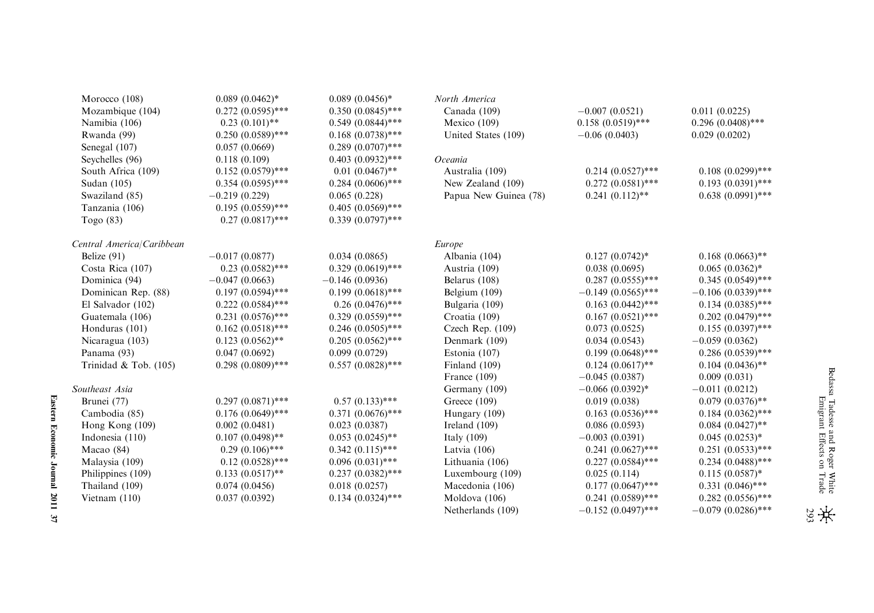| Namibia (106)<br>Rwanda (99)<br>Senegal (107)                                                                                                                                                                                                                                                                                                                                                                   | $0.250(0.0589)$ ***<br>0.057(0.0669)                                                                                                                                                                                                                                                                                                                                                                         | $0.549(0.0844)$ ***<br>$0.168~(0.0738)$ ***<br>$0.289(0.0707)$ ***                                                                                                                                                                                                                                                                                                                                               | Canada (109)<br>Mexico (109)<br>United States (109)                                                                                                                                                                                                                                                                                                                                                            | $-0.007(0.0521)$<br>$0.158(0.0519)$ ***<br>$-0.06(0.0403)$                                                                                                                                                                                                                                                                                                                                                                                                                 | 0.011(0.0225)<br>$0.296(0.0408)$ ***<br>0.029(0.0202)                                                                                                                                                                                                                                                                                                                                                                                                                                            |                                                                   |
|-----------------------------------------------------------------------------------------------------------------------------------------------------------------------------------------------------------------------------------------------------------------------------------------------------------------------------------------------------------------------------------------------------------------|--------------------------------------------------------------------------------------------------------------------------------------------------------------------------------------------------------------------------------------------------------------------------------------------------------------------------------------------------------------------------------------------------------------|------------------------------------------------------------------------------------------------------------------------------------------------------------------------------------------------------------------------------------------------------------------------------------------------------------------------------------------------------------------------------------------------------------------|----------------------------------------------------------------------------------------------------------------------------------------------------------------------------------------------------------------------------------------------------------------------------------------------------------------------------------------------------------------------------------------------------------------|----------------------------------------------------------------------------------------------------------------------------------------------------------------------------------------------------------------------------------------------------------------------------------------------------------------------------------------------------------------------------------------------------------------------------------------------------------------------------|--------------------------------------------------------------------------------------------------------------------------------------------------------------------------------------------------------------------------------------------------------------------------------------------------------------------------------------------------------------------------------------------------------------------------------------------------------------------------------------------------|-------------------------------------------------------------------|
| Seychelles (96)<br>South Africa (109)<br>Sudan (105)<br>Swaziland (85)<br>Tanzania (106)<br>Togo $(83)$                                                                                                                                                                                                                                                                                                         | 0.118(0.109)<br>$0.152(0.0579)$ ***<br>$0.354(0.0595)$ ***<br>$-0.219(0.229)$<br>$0.195(0.0559)$ ***<br>$0.27(0.0817)$ ***                                                                                                                                                                                                                                                                                   | $0.403(0.0932)$ ***<br>$0.01(0.0467)$ **<br>$0.284(0.0606)$ ***<br>0.065(0.228)<br>$0.405(0.0569)$ ***<br>$0.339(0.0797)$ ***                                                                                                                                                                                                                                                                                    | Oceania<br>Australia (109)<br>New Zealand (109)<br>Papua New Guinea (78)                                                                                                                                                                                                                                                                                                                                       | $0.214(0.0527)$ ***<br>$0.272(0.0581)$ ***<br>$0.241(0.112)$ **                                                                                                                                                                                                                                                                                                                                                                                                            | $0.108(0.0299)$ ***<br>$0.193(0.0391)$ ***<br>$0.638(0.0991)$ ***                                                                                                                                                                                                                                                                                                                                                                                                                                |                                                                   |
| Central America/Caribbean<br>Belize (91)<br>Costa Rica (107)<br>Dominica (94)<br>Dominican Rep. (88)<br>El Salvador (102)<br>Guatemala (106)<br>Honduras (101)<br>Nicaragua (103)<br>Panama (93)<br>Trinidad & Tob. $(105)$<br>Southeast Asia<br>Brunei (77)<br>Cambodia (85)<br>Hong Kong $(109)$<br>Indonesia (110)<br>Macao (84)<br>Malaysia (109)<br>Philippines (109)<br>Thailand (109)<br>Vietnam $(110)$ | $-0.017(0.0877)$<br>$0.23(0.0582)$ ***<br>$-0.047(0.0663)$<br>$0.197(0.0594)$ ***<br>$0.222(0.0584)$ ***<br>$0.231(0.0576)$ ***<br>$0.162(0.0518)$ ***<br>$0.123(0.0562)$ **<br>0.047(0.0692)<br>$0.298(0.0809)$ ***<br>$0.297(0.0871)$ ***<br>$0.176(0.0649)$ ***<br>0.002(0.0481)<br>$0.107(0.0498)$ **<br>$0.29(0.106)$ ***<br>$0.12(0.0528)$ ***<br>$0.133(0.0517)$ **<br>0.074(0.0456)<br>0.037(0.0392) | 0.034(0.0865)<br>$0.329(0.0619)$ ***<br>$-0.146(0.0936)$<br>$0.199(0.0618)$ ***<br>$0.26(0.0476)$ ***<br>$0.329(0.0559)$ ***<br>$0.246(0.0505)$ ***<br>$0.205(0.0562)$ ***<br>0.099(0.0729)<br>$0.557(0.0828)$ ***<br>$0.57(0.133)$ ***<br>$0.371(0.0676)$ ***<br>0.023(0.0387)<br>$0.053(0.0245)$ **<br>$0.342(0.115)$ ***<br>$0.096(0.031)$ ***<br>$0.237(0.0382)$ ***<br>0.018(0.0257)<br>$0.134(0.0324)$ *** | Europe<br>Albania (104)<br>Austria (109)<br>Belarus (108)<br>Belgium (109)<br>Bulgaria (109)<br>Croatia (109)<br>Czech Rep. $(109)$<br>Denmark (109)<br>Estonia (107)<br>Finland (109)<br>France (109)<br>Germany (109)<br>Greece (109)<br>Hungary (109)<br>Ireland $(109)$<br>Italy $(109)$<br>Latvia $(106)$<br>Lithuania (106)<br>Luxembourg (109)<br>Macedonia (106)<br>Moldova (106)<br>Netherlands (109) | $0.127~(0.0742)*$<br>0.038(0.0695)<br>$0.287(0.0555)$ ***<br>$-0.149(0.0565)$ ***<br>$0.163(0.0442)$ ***<br>$0.167(0.0521)$ ***<br>0.073(0.0525)<br>0.034(0.0543)<br>$0.199(0.0648)$ ***<br>$0.124(0.0617)$ **<br>$-0.045(0.0387)$<br>$-0.066(0.0392)$ *<br>0.019(0.038)<br>$0.163(0.0536)$ ***<br>0.086(0.0593)<br>$-0.003(0.0391)$<br>$0.241 (0.0627)$ ***<br>$0.227(0.0584)$ ***<br>0.025(0.114)<br>$0.177~(0.0647)$ ***<br>$0.241(0.0589)$ ***<br>$-0.152(0.0497)$ *** | $0.168(0.0663)$ **<br>$0.065(0.0362)*$<br>$0.345(0.0549)$ ***<br>$-0.106(0.0339)$ ***<br>$0.134(0.0385)$ ***<br>$0.202(0.0479)$ ***<br>$0.155(0.0397)$ ***<br>$-0.059(0.0362)$<br>$0.286(0.0539)$ ***<br>$0.104~(0.0436)$ **<br>0.009(0.031)<br>$-0.011(0.0212)$<br>$0.079(0.0376)$ **<br>$0.184(0.0362)$ ***<br>$0.084~(0.0427)$ **<br>$0.045(0.0253)*$<br>$0.251(0.0533)$ ***<br>$0.234(0.0488)$ ***<br>$0.115(0.0587)^*$<br>$0.331(0.046)$ ***<br>$0.282(0.0556)$ ***<br>$-0.079(0.0286)$ *** | Bedassa Tadesse and Roger White<br>Emigrant Effects on Trade<br>笑 |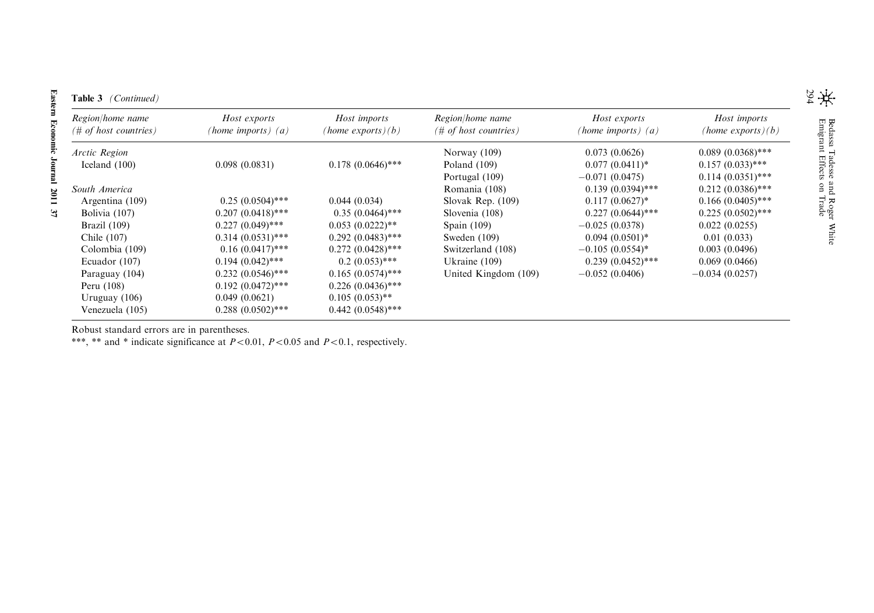| Region/home name<br>$(\# of host countries)$ | Host exports<br>(home imports) $(a)$ | Host imports<br>$(home\, exports)$ $(b)$ | Region/home name<br>$(\# of host countries)$ | Host exports<br>(home imports) $(a)$ | Host imports<br>$(home\, exports)$ $(b)$ |
|----------------------------------------------|--------------------------------------|------------------------------------------|----------------------------------------------|--------------------------------------|------------------------------------------|
| Arctic Region                                |                                      |                                          | Norway $(109)$                               | 0.073(0.0626)                        | $0.089(0.0368)$ ***                      |
| Iceland $(100)$                              | 0.098(0.0831)                        | $0.178(0.0646)$ ***                      | Poland $(109)$                               | $0.077(0.0411)*$                     | $0.157(0.033)$ ***                       |
|                                              |                                      |                                          | Portugal (109)                               | $-0.071(0.0475)$                     | $0.114(0.0351)$ ***                      |
| South America                                |                                      |                                          | Romania (108)                                | $0.139(0.0394)$ ***                  | $0.212(0.0386)$ ***                      |
| Argentina (109)                              | $0.25(0.0504)$ ***                   | 0.044(0.034)                             | Slovak Rep. $(109)$                          | $0.117(0.0627)^*$                    | $0.166(0.0405)$ ***                      |
| Bolivia (107)                                | $0.207(0.0418)$ ***                  | $0.35(0.0464)$ ***                       | Slovenia (108)                               | $0.227(0.0644)$ ***                  | $0.225(0.0502)$ ***                      |
| Brazil $(109)$                               | $0.227(0.049)$ ***                   | $0.053(0.0222)**$                        | Spain $(109)$                                | $-0.025(0.0378)$                     | 0.022(0.0255)                            |
| Chile (107)                                  | $0.314(0.0531)$ ***                  | $0.292(0.0483)$ ***                      | Sweden $(109)$                               | $0.094(0.0501)*$                     | 0.01(0.033)                              |
| Colombia (109)                               | $0.16(0.0417)$ ***                   | $0.272(0.0428)$ ***                      | Switzerland (108)                            | $-0.105(0.0554)$ *                   | 0.003(0.0496)                            |
| Ecuador (107)                                | $0.194(0.042)$ ***                   | $0.2(0.053)$ ***                         | Ukraine (109)                                | $0.239(0.0452)$ ***                  | 0.069(0.0466)                            |
| Paraguay (104)                               | $0.232(0.0546)$ ***                  | $0.165(0.0574)$ ***                      | United Kingdom (109)                         | $-0.052(0.0406)$                     | $-0.034(0.0257)$                         |
| Peru $(108)$                                 | $0.192(0.0472)$ ***                  | $0.226(0.0436)$ ***                      |                                              |                                      |                                          |
| Uruguay $(106)$                              | 0.049(0.0621)                        | $0.105(0.053)$ **                        |                                              |                                      |                                          |
| Venezuela (105)                              | $0.288(0.0502)$ ***                  | $0.442(0.0548)$ ***                      |                                              |                                      |                                          |

Emigrant Effects on Trade Bedassa Tadesse and Roger White

Bedassa Tadesse and Roger White<br>Emigrant Effects on Trade

294

Robust standard errors are in parentheses.

\*\*\*, \*\* and \* indicate significance at  $P < 0.01$ ,  $P < 0.05$  and  $P < 0.1$ , respectively.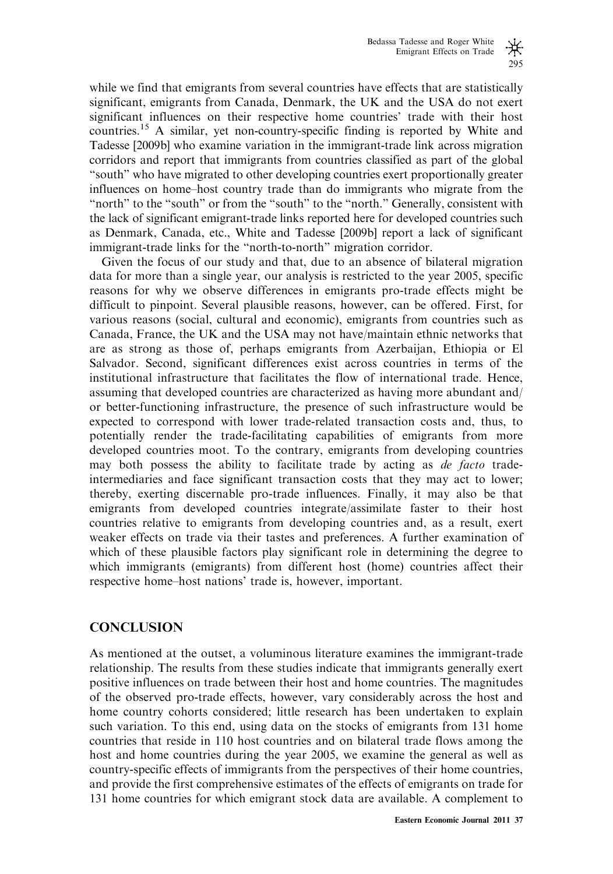while we find that emigrants from several countries have effects that are statistically significant, emigrants from Canada, Denmark, the UK and the USA do not exert significant influences on their respective home countries' trade with their host countries.<sup>15</sup> A similar, yet non-country-specific finding is reported by White and Tadesse [2009b] who examine variation in the immigrant-trade link across migration corridors and report that immigrants from countries classified as part of the global "south" who have migrated to other developing countries exert proportionally greater influences on home–host country trade than do immigrants who migrate from the "north" to the "south" or from the "south" to the "north." Generally, consistent with the lack of significant emigrant-trade links reported here for developed countries such as Denmark, Canada, etc., White and Tadesse [2009b] report a lack of significant immigrant-trade links for the "north-to-north" migration corridor.

Given the focus of our study and that, due to an absence of bilateral migration data for more than a single year, our analysis is restricted to the year 2005, specific reasons for why we observe differences in emigrants pro-trade effects might be difficult to pinpoint. Several plausible reasons, however, can be offered. First, for various reasons (social, cultural and economic), emigrants from countries such as Canada, France, the UK and the USA may not have/maintain ethnic networks that are as strong as those of, perhaps emigrants from Azerbaijan, Ethiopia or El Salvador. Second, significant differences exist across countries in terms of the institutional infrastructure that facilitates the flow of international trade. Hence, assuming that developed countries are characterized as having more abundant and/ or better-functioning infrastructure, the presence of such infrastructure would be expected to correspond with lower trade-related transaction costs and, thus, to potentially render the trade-facilitating capabilities of emigrants from more developed countries moot. To the contrary, emigrants from developing countries may both possess the ability to facilitate trade by acting as *de facto* tradeintermediaries and face significant transaction costs that they may act to lower; thereby, exerting discernable pro-trade influences. Finally, it may also be that emigrants from developed countries integrate/assimilate faster to their host countries relative to emigrants from developing countries and, as a result, exert weaker effects on trade via their tastes and preferences. A further examination of which of these plausible factors play significant role in determining the degree to which immigrants (emigrants) from different host (home) countries affect their respective home–host nations' trade is, however, important.

# **CONCLUSION**

As mentioned at the outset, a voluminous literature examines the immigrant-trade relationship. The results from these studies indicate that immigrants generally exert positive influences on trade between their host and home countries. The magnitudes of the observed pro-trade effects, however, vary considerably across the host and home country cohorts considered; little research has been undertaken to explain such variation. To this end, using data on the stocks of emigrants from 131 home countries that reside in 110 host countries and on bilateral trade flows among the host and home countries during the year 2005, we examine the general as well as country-specific effects of immigrants from the perspectives of their home countries, and provide the first comprehensive estimates of the effects of emigrants on trade for 131 home countries for which emigrant stock data are available. A complement to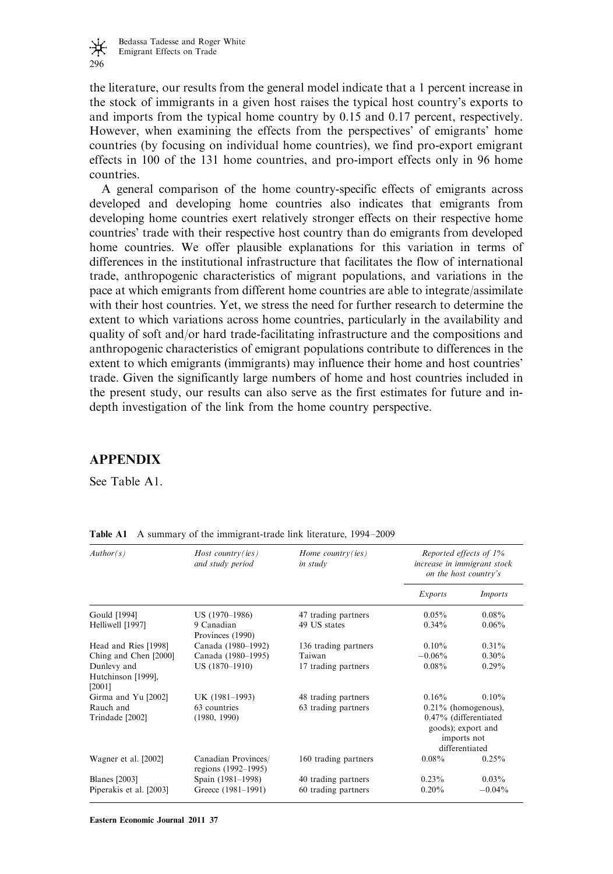

the literature, our results from the general model indicate that a 1 percent increase in the stock of immigrants in a given host raises the typical host country's exports to and imports from the typical home country by 0.15 and 0.17 percent, respectively. However, when examining the effects from the perspectives' of emigrants' home countries (by focusing on individual home countries), we find pro-export emigrant effects in 100 of the 131 home countries, and pro-import effects only in 96 home countries.

A general comparison of the home country-specific effects of emigrants across developed and developing home countries also indicates that emigrants from developing home countries exert relatively stronger effects on their respective home countries' trade with their respective host country than do emigrants from developed home countries. We offer plausible explanations for this variation in terms of differences in the institutional infrastructure that facilitates the flow of international trade, anthropogenic characteristics of migrant populations, and variations in the pace at which emigrants from different home countries are able to integrate/assimilate with their host countries. Yet, we stress the need for further research to determine the extent to which variations across home countries, particularly in the availability and quality of soft and/or hard trade-facilitating infrastructure and the compositions and anthropogenic characteristics of emigrant populations contribute to differences in the extent to which emigrants (immigrants) may influence their home and host countries' trade. Given the significantly large numbers of home and host countries included in the present study, our results can also serve as the first estimates for future and indepth investigation of the link from the home country perspective.

# APPENDIX

See Table A1.

| Author(s)                                   | Host country(ies)<br>and study period      | Home country(ies)<br>in study | Reported effects of 1%<br>increase in immigrant stock<br>on the host country's |                        |  |
|---------------------------------------------|--------------------------------------------|-------------------------------|--------------------------------------------------------------------------------|------------------------|--|
|                                             |                                            |                               | <i>Exports</i>                                                                 | <i>Imports</i>         |  |
| Gould [1994]                                | US (1970–1986)                             | 47 trading partners           | $0.05\%$                                                                       | $0.08\%$               |  |
| Helliwell [1997]                            | 9 Canadian<br>Provinces (1990)             | 49 US states                  | $0.34\%$                                                                       | $0.06\%$               |  |
| Head and Ries [1998]                        | Canada (1980–1992)                         | 136 trading partners          | $0.10\%$                                                                       | $0.31\%$               |  |
| Ching and Chen [2000]                       | Canada (1980-1995)                         | Taiwan                        | $-0.06\%$                                                                      | $0.30\%$               |  |
| Dunlevy and<br>Hutchinson [1999],<br>[2001] | US (1870-1910)                             | 17 trading partners           | $0.08\%$                                                                       | $0.29\%$               |  |
| Girma and Yu [2002]                         | UK (1981-1993)                             | 48 trading partners           | $0.16\%$                                                                       | $0.10\%$               |  |
| Rauch and                                   | 63 countries                               | 63 trading partners           |                                                                                | $0.21\%$ (homogenous), |  |
| Trindade [2002]                             | (1980, 1990)                               |                               | 0.47% (differentiated<br>goods); export and<br>imports not<br>differentiated   |                        |  |
| Wagner et al. [2002]                        | Canadian Provinces/<br>regions (1992–1995) | 160 trading partners          | $0.08\%$                                                                       | $0.25\%$               |  |
| Blanes $[2003]$                             | Spain (1981-1998)                          | 40 trading partners           | $0.23\%$                                                                       | $0.03\%$               |  |
| Piperakis et al. [2003]                     | Greece (1981-1991)                         | 60 trading partners           | 0.20%<br>$-0.04%$                                                              |                        |  |

Table A1 A summary of the immigrant-trade link literature, 1994 –2009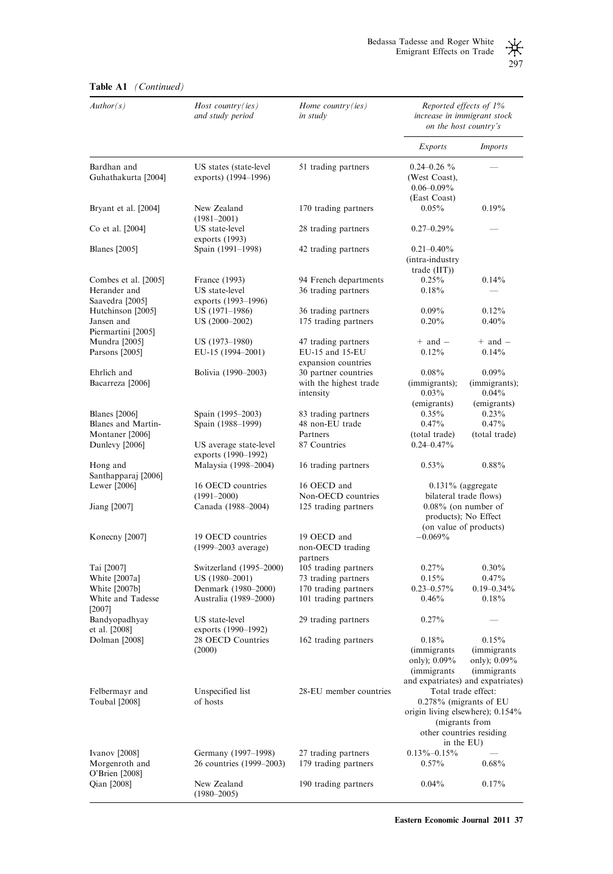| Author(s)                                      | <i>Host country (ies)</i><br>and study period   | Home country(ies)<br>in study                                 | Reported effects of 1%<br>increase in immigrant stock<br>on the host country's                                                  |                                                                                                         |  |
|------------------------------------------------|-------------------------------------------------|---------------------------------------------------------------|---------------------------------------------------------------------------------------------------------------------------------|---------------------------------------------------------------------------------------------------------|--|
|                                                |                                                 |                                                               | <b>Exports</b>                                                                                                                  | <i>Imports</i>                                                                                          |  |
| Bardhan and<br>Guhathakurta [2004]             | US states (state-level<br>exports) (1994–1996)  | 51 trading partners                                           | $0.24 - 0.26$ %<br>(West Coast),<br>$0.06 - 0.09\%$<br>(East Coast)                                                             |                                                                                                         |  |
| Bryant et al. [2004]                           | New Zealand<br>$(1981 - 2001)$                  | 170 trading partners                                          | $0.05\%$                                                                                                                        | $0.19\%$                                                                                                |  |
| Co et al. [2004]                               | US state-level<br>exports (1993)                | 28 trading partners                                           | $0.27 - 0.29\%$                                                                                                                 |                                                                                                         |  |
| <b>Blanes</b> [2005]                           | Spain (1991-1998)                               | 42 trading partners                                           | $0.21 - 0.40\%$<br>(intra-industry<br>trade $(III)$ )                                                                           |                                                                                                         |  |
| Combes et al. [2005]                           | France (1993)                                   | 94 French departments                                         | 0.25%                                                                                                                           | $0.14\%$                                                                                                |  |
| Herander and<br>Saavedra [2005]                | US state-level<br>exports (1993-1996)           | 36 trading partners                                           | $0.18\%$                                                                                                                        |                                                                                                         |  |
| Hutchinson [2005]                              | US (1971-1986)                                  | 36 trading partners                                           | $0.09\%$                                                                                                                        | $0.12\%$                                                                                                |  |
| Jansen and<br>Piermartini [2005]               | US (2000–2002)                                  | 175 trading partners                                          | $0.20\%$                                                                                                                        | $0.40\%$                                                                                                |  |
| Mundra [2005]                                  | US (1973–1980)                                  |                                                               | $+$ and $-$                                                                                                                     | $+$ and $-$                                                                                             |  |
| Parsons [2005]                                 | EU-15 (1994-2001)                               | 47 trading partners<br>EU-15 and 15-EU<br>expansion countries | $0.12\%$                                                                                                                        | $0.14\%$                                                                                                |  |
| Ehrlich and                                    |                                                 |                                                               | $0.08\%$                                                                                                                        | $0.09\%$                                                                                                |  |
|                                                | Bolivia (1990–2003)                             | 30 partner countries                                          |                                                                                                                                 |                                                                                                         |  |
| Bacarreza [2006]                               |                                                 | with the highest trade<br>intensity                           | (immigrants);<br>$0.03\%$                                                                                                       | (immigrants);<br>$0.04\%$                                                                               |  |
|                                                |                                                 |                                                               | (emigrants)                                                                                                                     | (emigrants)                                                                                             |  |
| <b>Blanes</b> [2006]                           | Spain (1995-2003)                               | 83 trading partners                                           | $0.35\%$                                                                                                                        | $0.23\%$                                                                                                |  |
| Blanes and Martin-                             | Spain (1988-1999)                               | 48 non-EU trade                                               | $0.47\%$                                                                                                                        | $0.47\%$                                                                                                |  |
| Montaner [2006]                                |                                                 | Partners                                                      | (total trade)                                                                                                                   | (total trade)                                                                                           |  |
| Dunlevy [2006]                                 | US average state-level<br>exports (1990–1992)   | 87 Countries                                                  | $0.24 - 0.47\%$                                                                                                                 |                                                                                                         |  |
| Hong and<br>Santhapparaj [2006]                | Malaysia (1998-2004)                            | 16 trading partners                                           | $0.53\%$                                                                                                                        | $0.88\%$                                                                                                |  |
| Lewer [2006]                                   | 16 OECD countries                               | 16 OECD and                                                   |                                                                                                                                 | $0.131\%$ (aggregate)                                                                                   |  |
|                                                | $(1991 - 2000)$                                 | Non-OECD countries                                            |                                                                                                                                 | bilateral trade flows)                                                                                  |  |
| Jiang [2007]                                   | Canada (1988-2004)                              | 125 trading partners                                          |                                                                                                                                 | $0.08\%$ (on number of<br>products); No Effect                                                          |  |
|                                                |                                                 |                                                               |                                                                                                                                 | (on value of products)                                                                                  |  |
| Konecny [2007]                                 | 19 OECD countries<br>$(1999 - 2003$ average)    | 19 OECD and<br>non-OECD trading<br>partners                   | $-0.069%$                                                                                                                       |                                                                                                         |  |
| Tai [2007]                                     | Switzerland (1995-2000)                         | 105 trading partners                                          | $0.27\%$                                                                                                                        | $0.30\%$                                                                                                |  |
| White [2007a]                                  | US (1980-2001)                                  | 73 trading partners                                           | 0.15%                                                                                                                           | 0.47%                                                                                                   |  |
| White [2007b]                                  | Denmark (1980–2000)                             | 170 trading partners                                          | $0.23 - 0.57\%$                                                                                                                 | $0.19 - 0.34\%$                                                                                         |  |
|                                                | Australia (1989-2000)                           |                                                               |                                                                                                                                 |                                                                                                         |  |
| White and Tadesse<br>$[2007]$<br>Bandyopadhyay | US state-level                                  | 101 trading partners<br>29 trading partners                   | $0.46\%$<br>0.27%                                                                                                               | $0.18\%$                                                                                                |  |
| et al. [2008]                                  | exports (1990-1992)                             |                                                               |                                                                                                                                 |                                                                                                         |  |
| Dolman [2008]                                  | 28 OECD Countries<br>(2000)                     | 162 trading partners                                          | $0.18\%$<br><i>(immigrants)</i><br>only); 0.09%<br><i>(immigrants)</i>                                                          | 0.15%<br><i>(immigrants</i><br>only); 0.09%<br><i>(immigrants)</i><br>and expatriates) and expatriates) |  |
| Felbermayr and<br>Toubal [2008]                | Unspecified list<br>of hosts                    | 28-EU member countries                                        | Total trade effect:<br>0.278% (migrants of EU<br>origin living elsewhere); 0.154%<br>(migrants from<br>other countries residing |                                                                                                         |  |
|                                                |                                                 |                                                               |                                                                                                                                 | in the EU)                                                                                              |  |
| <b>Ivanov</b> [2008]<br>Morgenroth and         | Germany (1997–1998)<br>26 countries (1999–2003) | 27 trading partners<br>179 trading partners                   | $0.13\% - 0.15\%$<br>0.57%                                                                                                      | $0.68\%$                                                                                                |  |
| O'Brien [2008]<br>Qian [2008]                  | New Zealand<br>$(1980 - 2005)$                  | 190 trading partners                                          | $0.04\%$                                                                                                                        | 0.17%                                                                                                   |  |

### Table A1 (Continued)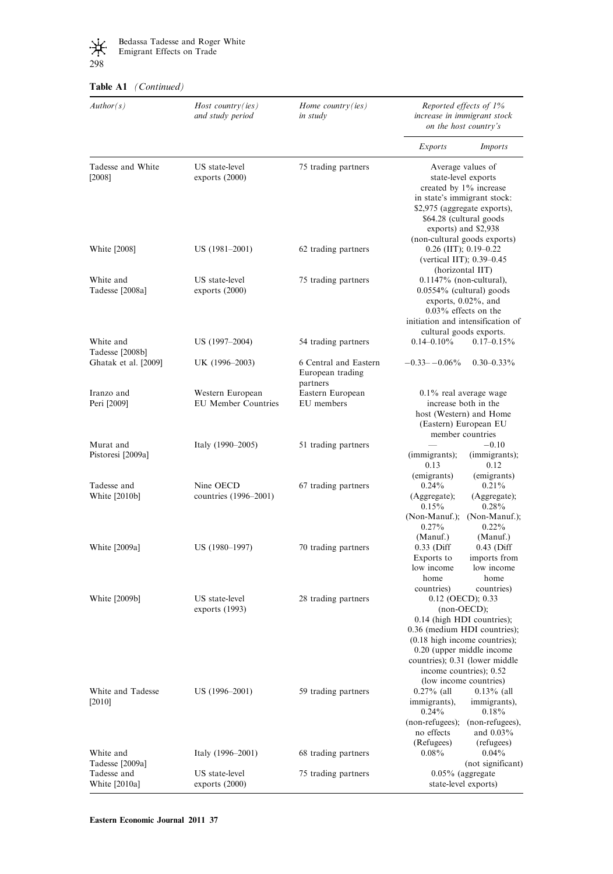Table A1 (Continued)

 $\underset{298}{\textstyle\textstyle\star}$ 

| Author(s)                      | Host country(ies)<br>and study period          | Home country(ies)<br>in study                         |                                                                                                                                                                                                                                                                                 | Reported effects of 1%<br>increase in immigrant stock<br>on the host country's                                                                   |  |  |
|--------------------------------|------------------------------------------------|-------------------------------------------------------|---------------------------------------------------------------------------------------------------------------------------------------------------------------------------------------------------------------------------------------------------------------------------------|--------------------------------------------------------------------------------------------------------------------------------------------------|--|--|
|                                |                                                |                                                       | <b>Exports</b>                                                                                                                                                                                                                                                                  | <b>Imports</b>                                                                                                                                   |  |  |
| Tadesse and White<br>[2008]    | US state-level<br>exports (2000)               | 75 trading partners                                   | Average values of<br>state-level exports<br>created by 1% increase<br>in state's immigrant stock:<br>\$2,975 (aggregate exports),<br>\$64.28 (cultural goods<br>exports) and \$2,938<br>(non-cultural goods exports)                                                            |                                                                                                                                                  |  |  |
| White [2008]                   | US (1981–2001)                                 | 62 trading partners                                   |                                                                                                                                                                                                                                                                                 | $0.26$ (IIT); $0.19 - 0.22$<br>(vertical IIT); $0.39 - 0.45$<br>(horizontal IIT)                                                                 |  |  |
| White and<br>Tadesse [2008a]   | US state-level<br>exports (2000)               | 75 trading partners                                   |                                                                                                                                                                                                                                                                                 | $0.1147\%$ (non-cultural),<br>$0.0554\%$ (cultural) goods<br>exports, 0.02%, and<br>$0.03\%$ effects on the<br>initiation and intensification of |  |  |
| White and<br>Tadesse [2008b]   | US (1997–2004)                                 | 54 trading partners                                   | cultural goods exports.<br>$0.14 - 0.10\%$                                                                                                                                                                                                                                      | $0.17 - 0.15\%$                                                                                                                                  |  |  |
| Ghatak et al. [2009]           | UK (1996-2003)                                 | 6 Central and Eastern<br>European trading<br>partners | $-0.33 - -0.06\%$                                                                                                                                                                                                                                                               | $0.30 - 0.33\%$                                                                                                                                  |  |  |
| Iranzo and<br>Peri [2009]      | Western European<br><b>EU</b> Member Countries | Eastern European<br>EU members                        | $0.1\%$ real average wage<br>increase both in the<br>host (Western) and Home<br>(Eastern) European EU<br>member countries                                                                                                                                                       |                                                                                                                                                  |  |  |
| Murat and<br>Pistoresi [2009a] | Italy (1990–2005)                              | 51 trading partners                                   | (immigrants);<br>0.13                                                                                                                                                                                                                                                           | $-0.10$<br>(immigrants);<br>0.12                                                                                                                 |  |  |
| Tadesse and<br>White [2010b]   | Nine OECD<br>countries (1996–2001)             | 67 trading partners                                   | (emigrants)<br>$0.24\%$<br>(Aggregate);<br>0.15%<br>(Non-Manuf.);<br>0.27%                                                                                                                                                                                                      | (emigrants)<br>$0.21\%$<br>(Aggregate);<br>$0.28\%$<br>(Non-Manuf.);<br>$0.22\%$                                                                 |  |  |
| White [2009a]                  | US (1980–1997)                                 | 70 trading partners                                   | (Manuf.)<br>$0.33$ (Diff<br>Exports to<br>low income<br>home                                                                                                                                                                                                                    | (Manuf.)<br>$0.43$ (Diff<br>imports from<br>low income<br>home                                                                                   |  |  |
| White [2009b]                  | US state-level<br>exports (1993)               | 28 trading partners                                   | countries)<br>countries)<br>0.12 (OECD); 0.33<br>(non-OECD);<br>0.14 (high HDI countries);<br>0.36 (medium HDI countries);<br>(0.18 high income countries);<br>0.20 (upper middle income<br>countries); 0.31 (lower middle<br>income countries); 0.52<br>(low income countries) |                                                                                                                                                  |  |  |
| White and Tadesse<br>[2010]    | US (1996-2001)                                 | 59 trading partners                                   | $0.27\%$ (all<br>immigrants),<br>$0.24\%$<br>(non-refugees);<br>no effects<br>(Refugees)                                                                                                                                                                                        | $0.13\%$ (all<br>immigrants),<br>0.18%<br>(non-refugees),<br>and 0.03%<br>(refugees)                                                             |  |  |
| White and<br>Tadesse [2009a]   | Italy (1996–2001)                              | 68 trading partners                                   | $0.08\%$                                                                                                                                                                                                                                                                        | $0.04\%$<br>(not significant)                                                                                                                    |  |  |
| Tadesse and<br>White [2010a]   | US state-level<br>exports (2000)               | 75 trading partners                                   |                                                                                                                                                                                                                                                                                 | $0.05\%$ (aggregate<br>state-level exports)                                                                                                      |  |  |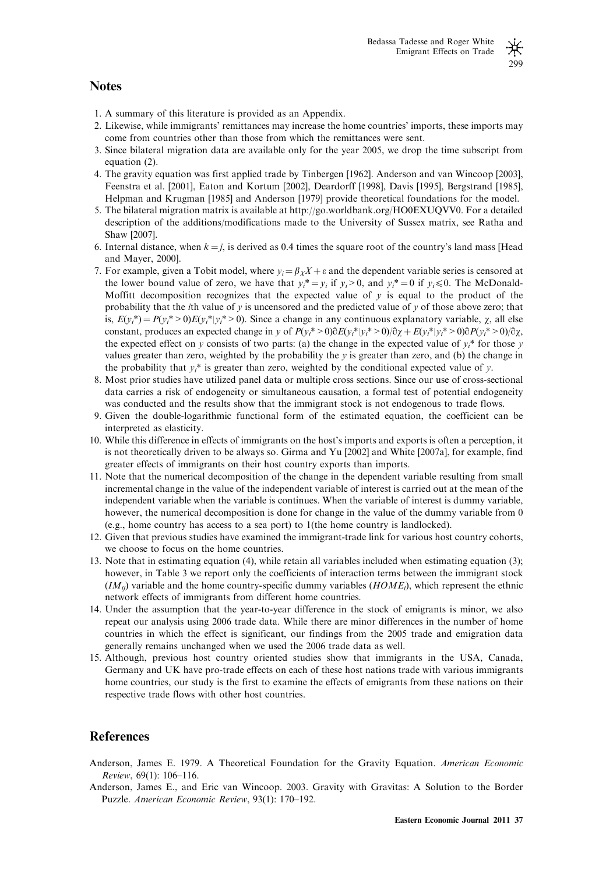### **Notes**

- 1. A summary of this literature is provided as an Appendix.
- 2. Likewise, while immigrants' remittances may increase the home countries' imports, these imports may come from countries other than those from which the remittances were sent.
- 3. Since bilateral migration data are available only for the year 2005, we drop the time subscript from equation (2).
- 4. The gravity equation was first applied trade by Tinbergen [1962]. Anderson and van Wincoop [2003], Feenstra et al. [2001], Eaton and Kortum [2002], Deardorff [1998], Davis [1995], Bergstrand [1985], Helpman and Krugman [1985] and Anderson [1979] provide theoretical foundations for the model.
- 5. The bilateral migration matrix is available at http://go.worldbank.org/HO0EXUQVV0. For a detailed description of the additions/modifications made to the University of Sussex matrix, see Ratha and Shaw [2007].
- 6. Internal distance, when  $k = j$ , is derived as 0.4 times the square root of the country's land mass [Head and Mayer, 2000].
- 7. For example, given a Tobit model, where  $y_i = \beta_X X + \varepsilon$  and the dependent variable series is censored at the lower bound value of zero, we have that  $y_i^* = y_i$  if  $y_i > 0$ , and  $y_i^* = 0$  if  $y_i \le 0$ . The McDonald-Moffitt decomposition recognizes that the expected value of  $y$  is equal to the product of the probability that the ith value of y is uncensored and the predicted value of y of those above zero; that is,  $E(y_i^*) = P(y_i^* > 0)E(y_i^*|y_i^* > 0)$ . Since a change in any continuous explanatory variable,  $\chi$ , all else constant, produces an expected change in y of  $P(y_i^* > 0) \partial E(y_i^*|y_i^* > 0)/\partial \chi + E(y_i^*|y_i^* > 0) \partial P(y_i^* > 0)/\partial \chi$ , the expected effect on y consists of two parts: (a) the change in the expected value of  $y_i^*$  for those y values greater than zero, weighted by the probability the  $y$  is greater than zero, and (b) the change in the probability that  $y_i^*$  is greater than zero, weighted by the conditional expected value of y.
- 8. Most prior studies have utilized panel data or multiple cross sections. Since our use of cross-sectional data carries a risk of endogeneity or simultaneous causation, a formal test of potential endogeneity was conducted and the results show that the immigrant stock is not endogenous to trade flows.
- 9. Given the double-logarithmic functional form of the estimated equation, the coefficient can be interpreted as elasticity.
- 10. While this difference in effects of immigrants on the host's imports and exports is often a perception, it is not theoretically driven to be always so. Girma and Yu [2002] and White [2007a], for example, find greater effects of immigrants on their host country exports than imports.
- 11. Note that the numerical decomposition of the change in the dependent variable resulting from small incremental change in the value of the independent variable of interest is carried out at the mean of the independent variable when the variable is continues. When the variable of interest is dummy variable, however, the numerical decomposition is done for change in the value of the dummy variable from 0 (e.g., home country has access to a sea port) to 1(the home country is landlocked).
- 12. Given that previous studies have examined the immigrant-trade link for various host country cohorts, we choose to focus on the home countries.
- 13. Note that in estimating equation (4), while retain all variables included when estimating equation (3); however, in Table 3 we report only the coefficients of interaction terms between the immigrant stock  $(IM_{ii})$  variable and the home country-specific dummy variables  $(HOME_i)$ , which represent the ethnic network effects of immigrants from different home countries.
- 14. Under the assumption that the year-to-year difference in the stock of emigrants is minor, we also repeat our analysis using 2006 trade data. While there are minor differences in the number of home countries in which the effect is significant, our findings from the 2005 trade and emigration data generally remains unchanged when we used the 2006 trade data as well.
- 15. Although, previous host country oriented studies show that immigrants in the USA, Canada, Germany and UK have pro-trade effects on each of these host nations trade with various immigrants home countries, our study is the first to examine the effects of emigrants from these nations on their respective trade flows with other host countries.

# References

- Anderson, James E. 1979. A Theoretical Foundation for the Gravity Equation. American Economic Review, 69(1): 106–116.
- Anderson, James E., and Eric van Wincoop. 2003. Gravity with Gravitas: A Solution to the Border Puzzle. American Economic Review, 93(1): 170–192.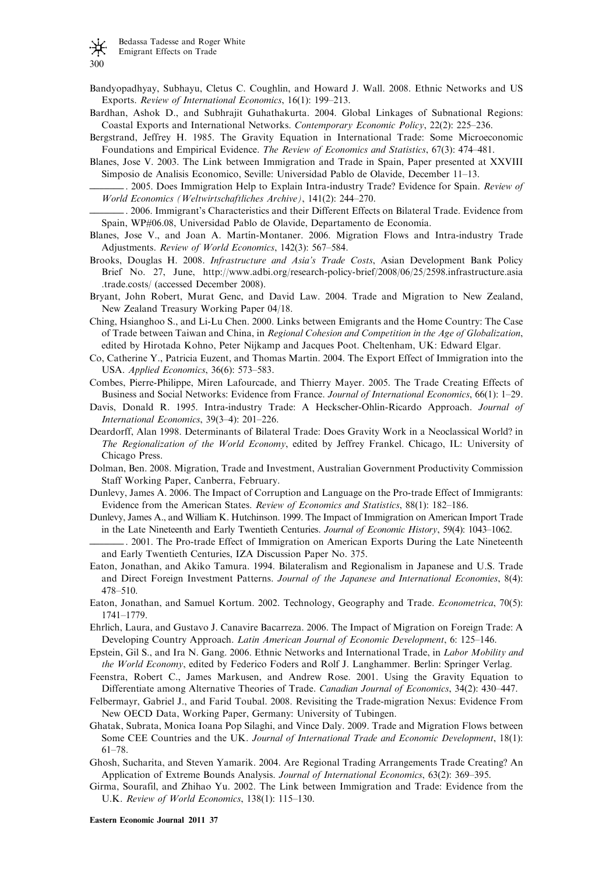

- Bandyopadhyay, Subhayu, Cletus C. Coughlin, and Howard J. Wall. 2008. Ethnic Networks and US Exports. Review of International Economics, 16(1): 199–213.
- Bardhan, Ashok D., and Subhrajit Guhathakurta. 2004. Global Linkages of Subnational Regions: Coastal Exports and International Networks. Contemporary Economic Policy, 22(2): 225–236.
- Bergstrand, Jeffrey H. 1985. The Gravity Equation in International Trade: Some Microeconomic Foundations and Empirical Evidence. The Review of Economics and Statistics, 67(3): 474–481.
- Blanes, Jose V. 2003. The Link between Immigration and Trade in Spain, Paper presented at XXVIII Simposio de Analisis Economico, Seville: Universidad Pablo de Olavide, December 11–13.
- ... 2005. Does Immigration Help to Explain Intra-industry Trade? Evidence for Spain. Review of World Economics (Weltwirtschaftliches Archive), 141(2): 244–270.
- \_\_\_\_\_\_\_ . 2006. Immigrant's Characteristics and their Different Effects on Bilateral Trade. Evidence from Spain, WP#06.08, Universidad Pablo de Olavide, Departamento de Economía.
- Blanes, Jose V., and Joan A. Martín-Montaner. 2006. Migration Flows and Intra-industry Trade Adjustments. Review of World Economics, 142(3): 567–584.
- Brooks, Douglas H. 2008. Infrastructure and Asia's Trade Costs, Asian Development Bank Policy Brief No. 27, June, http://www.adbi.org/research-policy-brief/2008/06/25/2598.infrastructure.asia .trade.costs/ (accessed December 2008).
- Bryant, John Robert, Murat Genc, and David Law. 2004. Trade and Migration to New Zealand, New Zealand Treasury Working Paper 04/18.
- Ching, Hsianghoo S., and Li-Lu Chen. 2000. Links between Emigrants and the Home Country: The Case of Trade between Taiwan and China, in Regional Cohesion and Competition in the Age of Globalization, edited by Hirotada Kohno, Peter Nijkamp and Jacques Poot. Cheltenham, UK: Edward Elgar.
- Co, Catherine Y., Patricia Euzent, and Thomas Martin. 2004. The Export Effect of Immigration into the USA. Applied Economics, 36(6): 573–583.
- Combes, Pierre-Philippe, Miren Lafourcade, and Thierry Mayer. 2005. The Trade Creating Effects of Business and Social Networks: Evidence from France. Journal of International Economics, 66(1): 1–29.
- Davis, Donald R. 1995. Intra-industry Trade: A Heckscher-Ohlin-Ricardo Approach. Journal of International Economics, 39(3–4): 201–226.
- Deardorff, Alan 1998. Determinants of Bilateral Trade: Does Gravity Work in a Neoclassical World? in The Regionalization of the World Economy, edited by Jeffrey Frankel. Chicago, IL: University of Chicago Press.
- Dolman, Ben. 2008. Migration, Trade and Investment, Australian Government Productivity Commission Staff Working Paper, Canberra, February.
- Dunlevy, James A. 2006. The Impact of Corruption and Language on the Pro-trade Effect of Immigrants: Evidence from the American States. Review of Economics and Statistics, 88(1): 182–186.
- Dunlevy, James A., and William K. Hutchinson. 1999. The Impact of Immigration on American Import Trade in the Late Nineteenth and Early Twentieth Centuries. Journal of Economic History, 59(4): 1043-1062.
- \_\_\_\_\_\_\_ . 2001. The Pro-trade Effect of Immigration on American Exports During the Late Nineteenth and Early Twentieth Centuries, IZA Discussion Paper No. 375.
- Eaton, Jonathan, and Akiko Tamura. 1994. Bilateralism and Regionalism in Japanese and U.S. Trade and Direct Foreign Investment Patterns. Journal of the Japanese and International Economies, 8(4): 478–510.
- Eaton, Jonathan, and Samuel Kortum. 2002. Technology, Geography and Trade. Econometrica, 70(5): 1741–1779.
- Ehrlich, Laura, and Gustavo J. Canavire Bacarreza. 2006. The Impact of Migration on Foreign Trade: A Developing Country Approach. Latin American Journal of Economic Development, 6: 125–146.
- Epstein, Gil S., and Ira N. Gang. 2006. Ethnic Networks and International Trade, in Labor Mobility and the World Economy, edited by Federico Foders and Rolf J. Langhammer. Berlin: Springer Verlag.
- Feenstra, Robert C., James Markusen, and Andrew Rose. 2001. Using the Gravity Equation to Differentiate among Alternative Theories of Trade. Canadian Journal of Economics, 34(2): 430–447.
- Felbermayr, Gabriel J., and Farid Toubal. 2008. Revisiting the Trade-migration Nexus: Evidence From New OECD Data, Working Paper, Germany: University of Tubingen.
- Ghatak, Subrata, Monica Ioana Pop Silaghi, and Vince Daly. 2009. Trade and Migration Flows between Some CEE Countries and the UK. Journal of International Trade and Economic Development, 18(1): 61–78.
- Ghosh, Sucharita, and Steven Yamarik. 2004. Are Regional Trading Arrangements Trade Creating? An Application of Extreme Bounds Analysis. Journal of International Economics, 63(2): 369-395.
- Girma, Sourafil, and Zhihao Yu. 2002. The Link between Immigration and Trade: Evidence from the U.K. Review of World Economics, 138(1): 115–130.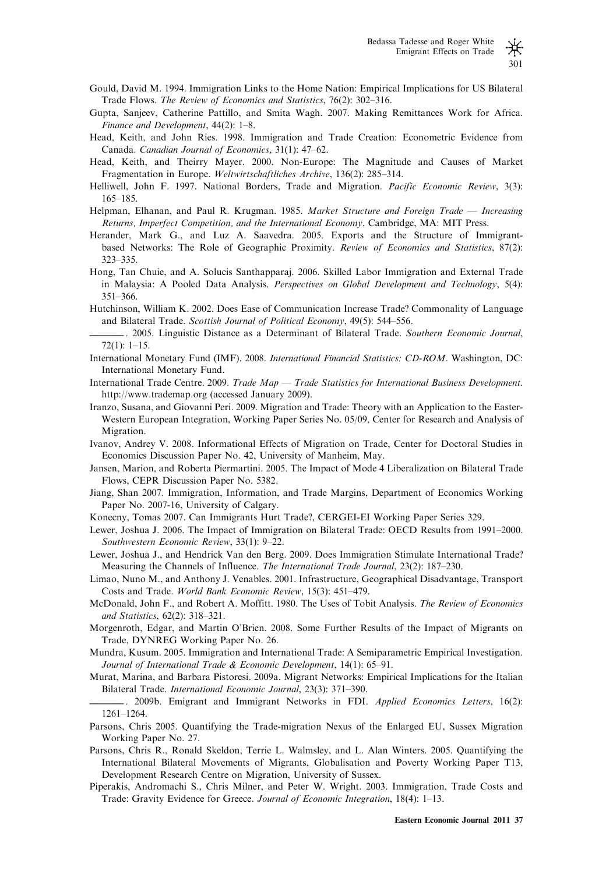- Gould, David M. 1994. Immigration Links to the Home Nation: Empirical Implications for US Bilateral Trade Flows. The Review of Economics and Statistics, 76(2): 302–316.
- Gupta, Sanjeev, Catherine Pattillo, and Smita Wagh. 2007. Making Remittances Work for Africa. Finance and Development, 44(2): 1–8.
- Head, Keith, and John Ries. 1998. Immigration and Trade Creation: Econometric Evidence from Canada. Canadian Journal of Economics, 31(1): 47–62.
- Head, Keith, and Theirry Mayer. 2000. Non-Europe: The Magnitude and Causes of Market Fragmentation in Europe. Weltwirtschaftliches Archive, 136(2): 285–314.
- Helliwell, John F. 1997. National Borders, Trade and Migration. Pacific Economic Review, 3(3): 165–185.
- Helpman, Elhanan, and Paul R. Krugman. 1985. Market Structure and Foreign Trade Increasing Returns, Imperfect Competition, and the International Economy. Cambridge, MA: MIT Press.
- Herander, Mark G., and Luz A. Saavedra. 2005. Exports and the Structure of Immigrantbased Networks: The Role of Geographic Proximity. Review of Economics and Statistics, 87(2): 323–335.
- Hong, Tan Chuie, and A. Solucis Santhapparaj. 2006. Skilled Labor Immigration and External Trade in Malaysia: A Pooled Data Analysis. Perspectives on Global Development and Technology, 5(4): 351–366.
- Hutchinson, William K. 2002. Does Ease of Communication Increase Trade? Commonality of Language and Bilateral Trade. Scottish Journal of Political Economy, 49(5): 544–556.
- . 2005. Linguistic Distance as a Determinant of Bilateral Trade. Southern Economic Journal, 72(1): 1–15.
- International Monetary Fund (IMF). 2008. International Financial Statistics: CD-ROM. Washington, DC: International Monetary Fund.
- International Trade Centre. 2009. Trade Map Trade Statistics for International Business Development. http://www.trademap.org (accessed January 2009).
- Iranzo, Susana, and Giovanni Peri. 2009. Migration and Trade: Theory with an Application to the Easter-Western European Integration, Working Paper Series No. 05/09, Center for Research and Analysis of Migration.
- Ivanov, Andrey V. 2008. Informational Effects of Migration on Trade, Center for Doctoral Studies in Economics Discussion Paper No. 42, University of Manheim, May.
- Jansen, Marion, and Roberta Piermartini. 2005. The Impact of Mode 4 Liberalization on Bilateral Trade Flows, CEPR Discussion Paper No. 5382.
- Jiang, Shan 2007. Immigration, Information, and Trade Margins, Department of Economics Working Paper No. 2007-16, University of Calgary.
- Konecny, Tomas 2007. Can Immigrants Hurt Trade?, CERGEI-EI Working Paper Series 329.
- Lewer, Joshua J. 2006. The Impact of Immigration on Bilateral Trade: OECD Results from 1991–2000. Southwestern Economic Review, 33(1): 9–22.
- Lewer, Joshua J., and Hendrick Van den Berg. 2009. Does Immigration Stimulate International Trade? Measuring the Channels of Influence. The International Trade Journal, 23(2): 187–230.
- Limao, Nuno M., and Anthony J. Venables. 2001. Infrastructure, Geographical Disadvantage, Transport Costs and Trade. World Bank Economic Review, 15(3): 451–479.
- McDonald, John F., and Robert A. Moffitt. 1980. The Uses of Tobit Analysis. The Review of Economics and Statistics, 62(2): 318–321.
- Morgenroth, Edgar, and Martin O'Brien. 2008. Some Further Results of the Impact of Migrants on Trade, DYNREG Working Paper No. 26.
- Mundra, Kusum. 2005. Immigration and International Trade: A Semiparametric Empirical Investigation. Journal of International Trade & Economic Development, 14(1): 65–91.
- Murat, Marina, and Barbara Pistoresi. 2009a. Migrant Networks: Empirical Implications for the Italian Bilateral Trade. International Economic Journal, 23(3): 371–390.
- . 2009b. Emigrant and Immigrant Networks in FDI. Applied Economics Letters, 16(2): 1261–1264.
- Parsons, Chris 2005. Quantifying the Trade-migration Nexus of the Enlarged EU, Sussex Migration Working Paper No. 27.
- Parsons, Chris R., Ronald Skeldon, Terrie L. Walmsley, and L. Alan Winters. 2005. Quantifying the International Bilateral Movements of Migrants, Globalisation and Poverty Working Paper T13, Development Research Centre on Migration, University of Sussex.
- Piperakis, Andromachi S., Chris Milner, and Peter W. Wright. 2003. Immigration, Trade Costs and Trade: Gravity Evidence for Greece. Journal of Economic Integration, 18(4): 1-13.